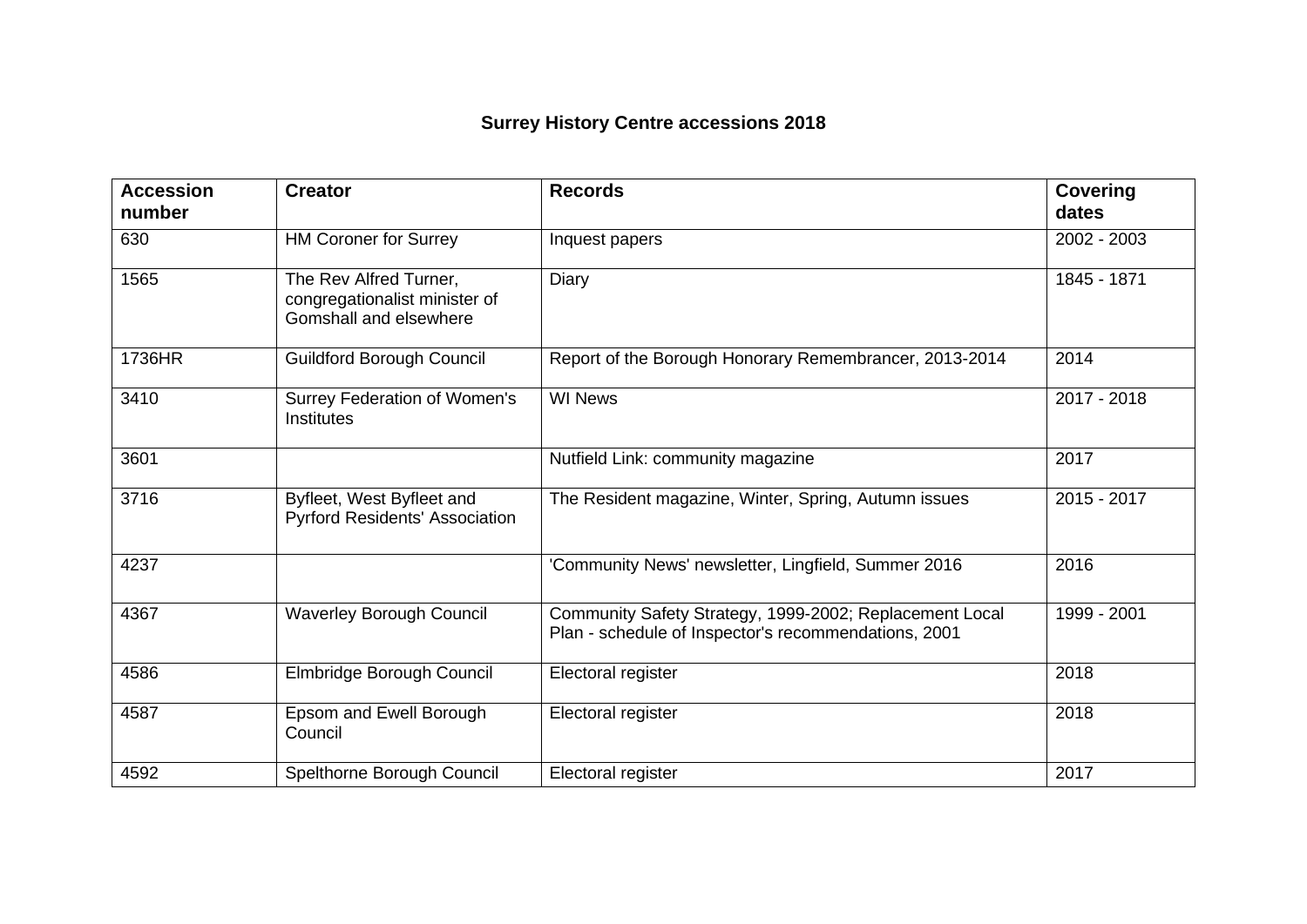## **Surrey History Centre accessions 2018**

| <b>Accession</b><br>number | <b>Creator</b>                                                                    | <b>Records</b>                                                                                                  | <b>Covering</b><br>dates |
|----------------------------|-----------------------------------------------------------------------------------|-----------------------------------------------------------------------------------------------------------------|--------------------------|
| 630                        | <b>HM Coroner for Surrey</b>                                                      | Inquest papers                                                                                                  | 2002 - 2003              |
| 1565                       | The Rev Alfred Turner,<br>congregationalist minister of<br>Gomshall and elsewhere | Diary                                                                                                           | 1845 - 1871              |
| 1736HR                     | <b>Guildford Borough Council</b>                                                  | Report of the Borough Honorary Remembrancer, 2013-2014                                                          | 2014                     |
| 3410                       | Surrey Federation of Women's<br>Institutes                                        | <b>WI News</b>                                                                                                  | 2017 - 2018              |
| 3601                       |                                                                                   | Nutfield Link: community magazine                                                                               | 2017                     |
| 3716                       | Byfleet, West Byfleet and<br><b>Pyrford Residents' Association</b>                | The Resident magazine, Winter, Spring, Autumn issues                                                            | 2015 - 2017              |
| 4237                       |                                                                                   | 'Community News' newsletter, Lingfield, Summer 2016                                                             | 2016                     |
| 4367                       | <b>Waverley Borough Council</b>                                                   | Community Safety Strategy, 1999-2002; Replacement Local<br>Plan - schedule of Inspector's recommendations, 2001 | 1999 - 2001              |
| 4586                       | Elmbridge Borough Council                                                         | Electoral register                                                                                              | 2018                     |
| 4587                       | Epsom and Ewell Borough<br>Council                                                | Electoral register                                                                                              | 2018                     |
| 4592                       | Spelthorne Borough Council                                                        | Electoral register                                                                                              | 2017                     |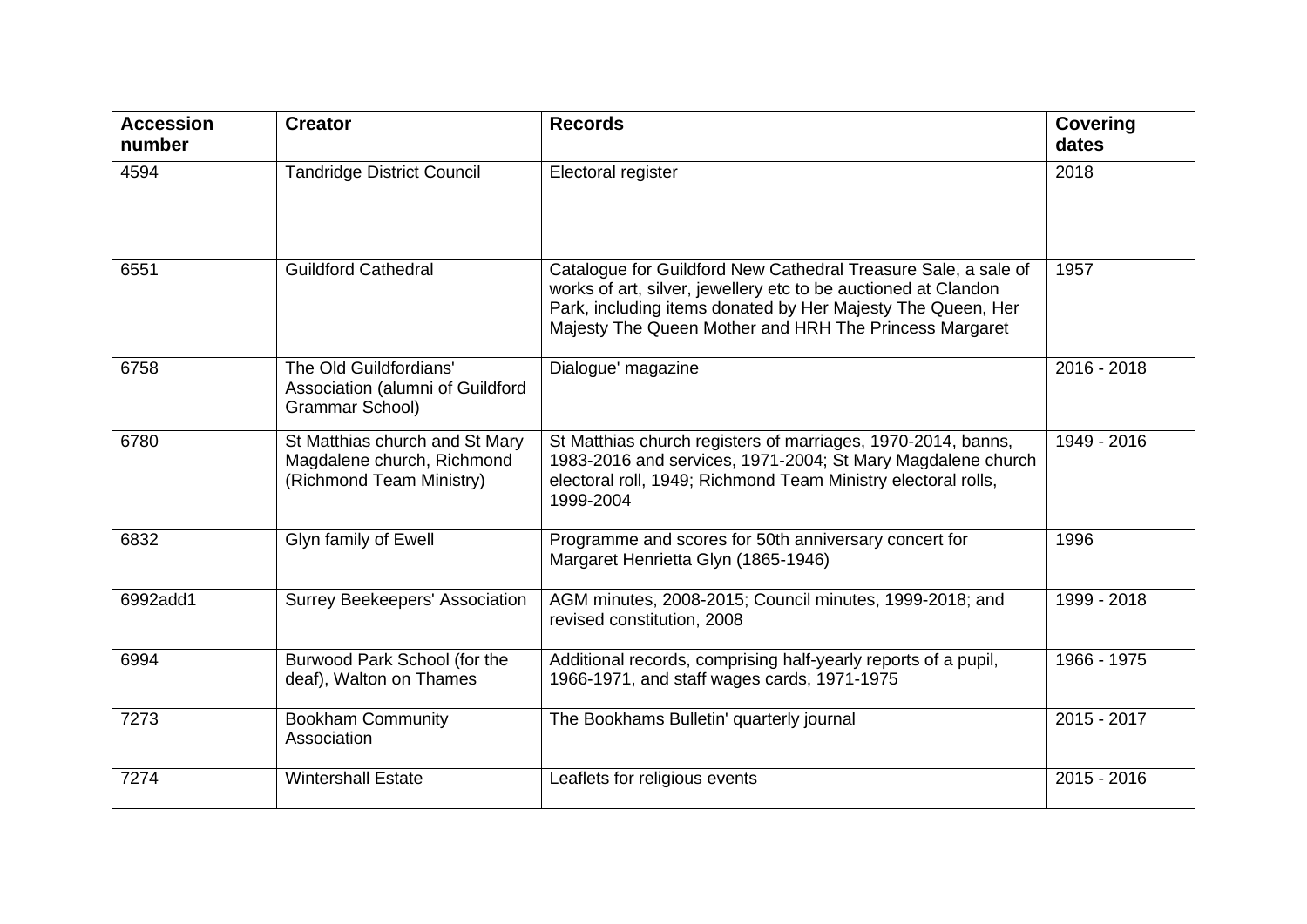| <b>Accession</b><br>number | <b>Creator</b>                                                                           | <b>Records</b>                                                                                                                                                                                                                                            | <b>Covering</b><br>dates |
|----------------------------|------------------------------------------------------------------------------------------|-----------------------------------------------------------------------------------------------------------------------------------------------------------------------------------------------------------------------------------------------------------|--------------------------|
| 4594                       | <b>Tandridge District Council</b>                                                        | Electoral register                                                                                                                                                                                                                                        | 2018                     |
| 6551                       | <b>Guildford Cathedral</b>                                                               | Catalogue for Guildford New Cathedral Treasure Sale, a sale of<br>works of art, silver, jewellery etc to be auctioned at Clandon<br>Park, including items donated by Her Majesty The Queen, Her<br>Majesty The Queen Mother and HRH The Princess Margaret | 1957                     |
| 6758                       | The Old Guildfordians'<br>Association (alumni of Guildford<br>Grammar School)            | Dialogue' magazine                                                                                                                                                                                                                                        | 2016 - 2018              |
| 6780                       | St Matthias church and St Mary<br>Magdalene church, Richmond<br>(Richmond Team Ministry) | St Matthias church registers of marriages, 1970-2014, banns,<br>1983-2016 and services, 1971-2004; St Mary Magdalene church<br>electoral roll, 1949; Richmond Team Ministry electoral rolls,<br>1999-2004                                                 | 1949 - 2016              |
| 6832                       | Glyn family of Ewell                                                                     | Programme and scores for 50th anniversary concert for<br>Margaret Henrietta Glyn (1865-1946)                                                                                                                                                              | 1996                     |
| 6992add1                   | <b>Surrey Beekeepers' Association</b>                                                    | AGM minutes, 2008-2015; Council minutes, 1999-2018; and<br>revised constitution, 2008                                                                                                                                                                     | 1999 - 2018              |
| 6994                       | Burwood Park School (for the<br>deaf), Walton on Thames                                  | Additional records, comprising half-yearly reports of a pupil,<br>1966-1971, and staff wages cards, 1971-1975                                                                                                                                             | 1966 - 1975              |
| 7273                       | <b>Bookham Community</b><br>Association                                                  | The Bookhams Bulletin' quarterly journal                                                                                                                                                                                                                  | 2015 - 2017              |
| 7274                       | <b>Wintershall Estate</b>                                                                | Leaflets for religious events                                                                                                                                                                                                                             | 2015 - 2016              |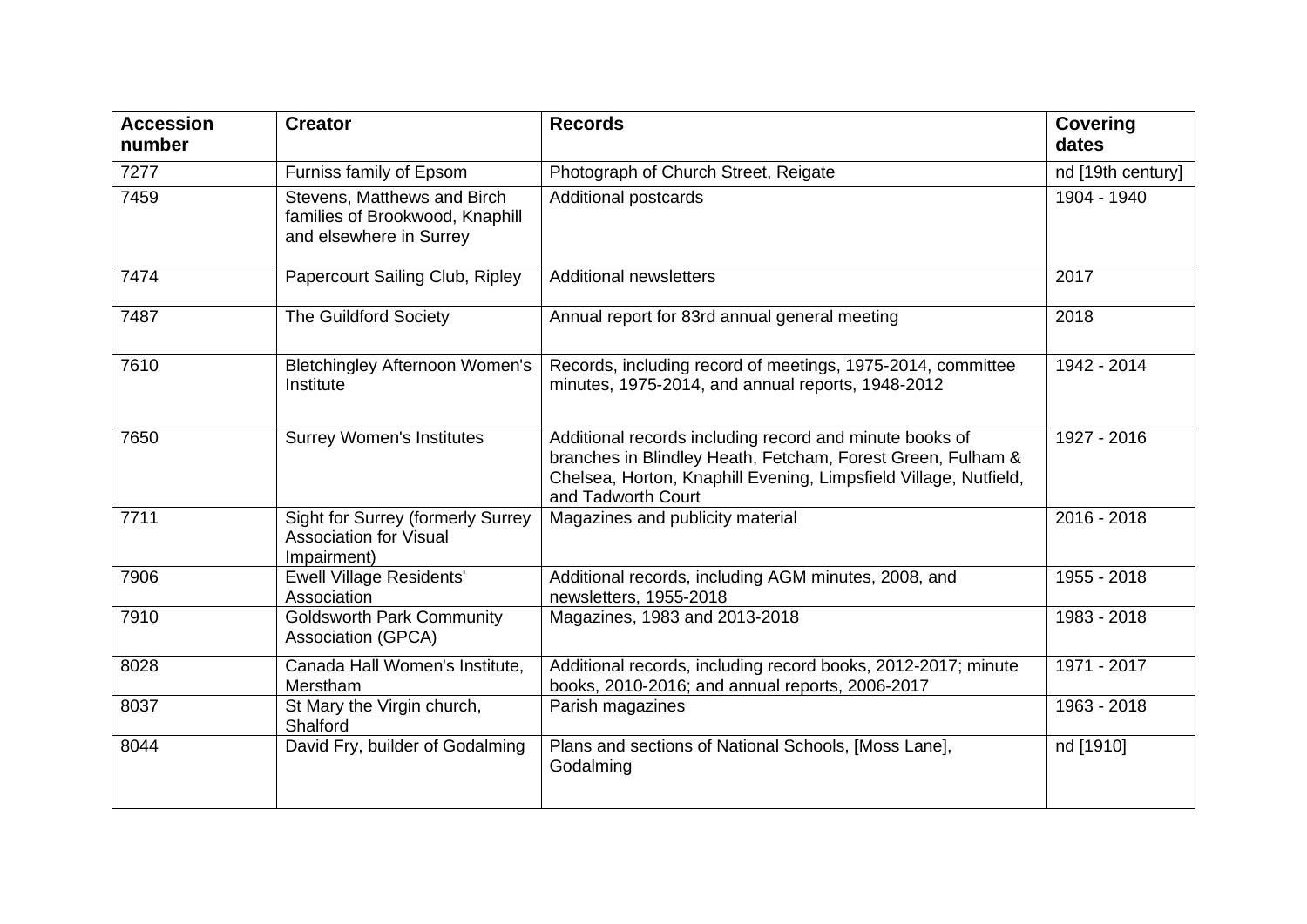| <b>Accession</b><br>number | <b>Creator</b>                                                                            | <b>Records</b>                                                                                                                                                                                                   | <b>Covering</b><br>dates |
|----------------------------|-------------------------------------------------------------------------------------------|------------------------------------------------------------------------------------------------------------------------------------------------------------------------------------------------------------------|--------------------------|
| 7277                       | Furniss family of Epsom                                                                   | Photograph of Church Street, Reigate                                                                                                                                                                             | nd [19th century]        |
| 7459                       | Stevens, Matthews and Birch<br>families of Brookwood, Knaphill<br>and elsewhere in Surrey | <b>Additional postcards</b>                                                                                                                                                                                      | 1904 - 1940              |
| 7474                       | Papercourt Sailing Club, Ripley                                                           | <b>Additional newsletters</b>                                                                                                                                                                                    | 2017                     |
| 7487                       | <b>The Guildford Society</b>                                                              | Annual report for 83rd annual general meeting                                                                                                                                                                    | 2018                     |
| 7610                       | <b>Bletchingley Afternoon Women's</b><br>Institute                                        | Records, including record of meetings, 1975-2014, committee<br>minutes, 1975-2014, and annual reports, 1948-2012                                                                                                 | 1942 - 2014              |
| 7650                       | <b>Surrey Women's Institutes</b>                                                          | Additional records including record and minute books of<br>branches in Blindley Heath, Fetcham, Forest Green, Fulham &<br>Chelsea, Horton, Knaphill Evening, Limpsfield Village, Nutfield,<br>and Tadworth Court | 1927 - 2016              |
| 7711                       | <b>Sight for Surrey (formerly Surrey</b><br><b>Association for Visual</b><br>Impairment)  | Magazines and publicity material                                                                                                                                                                                 | 2016 - 2018              |
| 7906                       | <b>Ewell Village Residents'</b><br>Association                                            | Additional records, including AGM minutes, 2008, and<br>newsletters, 1955-2018                                                                                                                                   | 1955 - 2018              |
| 7910                       | <b>Goldsworth Park Community</b><br>Association (GPCA)                                    | Magazines, 1983 and 2013-2018                                                                                                                                                                                    | 1983 - 2018              |
| 8028                       | Canada Hall Women's Institute,<br>Merstham                                                | Additional records, including record books, 2012-2017; minute<br>books, 2010-2016; and annual reports, 2006-2017                                                                                                 | 1971 - 2017              |
| 8037                       | St Mary the Virgin church,<br>Shalford                                                    | Parish magazines                                                                                                                                                                                                 | 1963 - 2018              |
| 8044                       | David Fry, builder of Godalming                                                           | Plans and sections of National Schools, [Moss Lane],<br>Godalming                                                                                                                                                | nd [1910]                |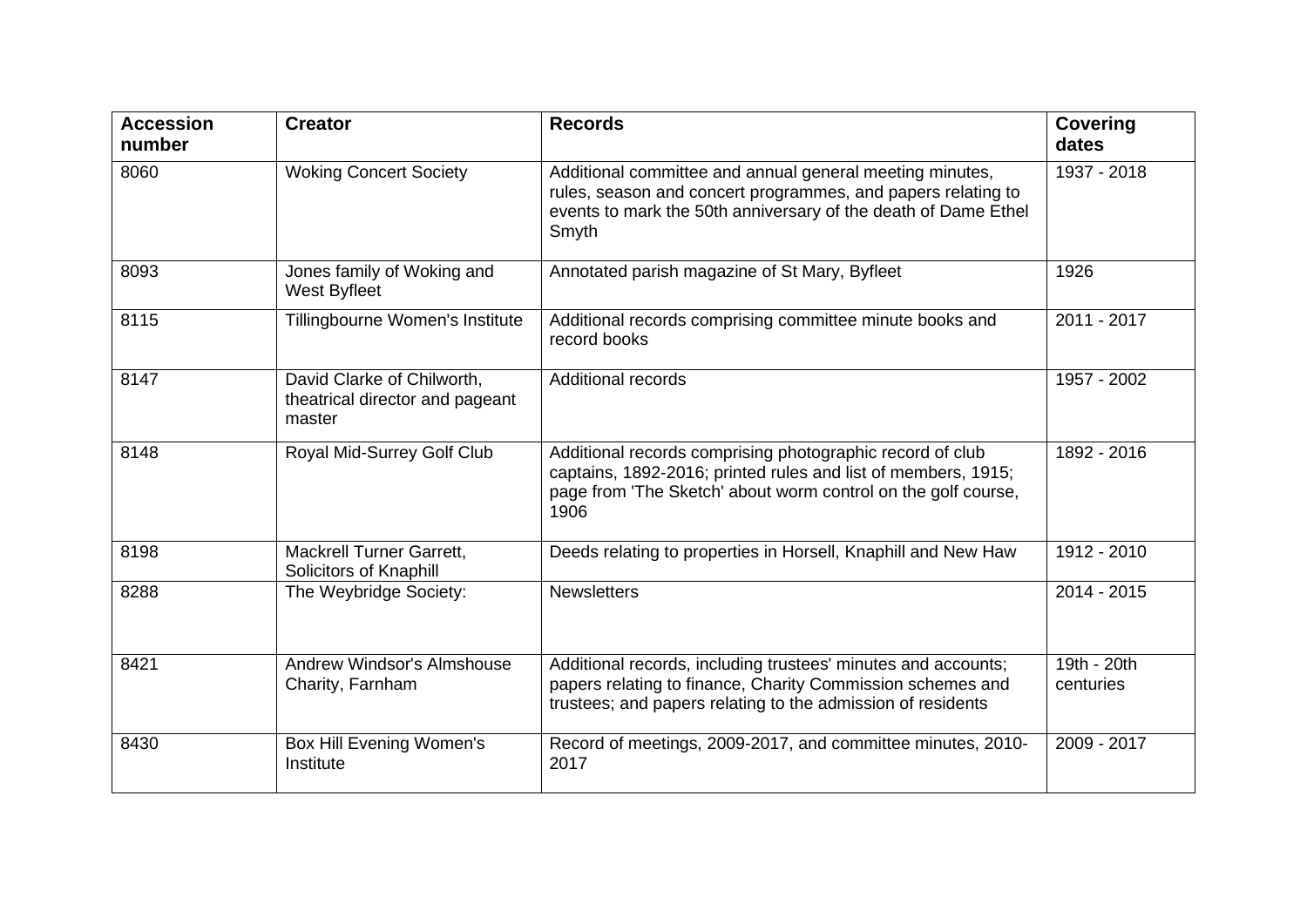| <b>Accession</b><br>number | <b>Creator</b>                                                          | <b>Records</b>                                                                                                                                                                                      | <b>Covering</b><br>dates |
|----------------------------|-------------------------------------------------------------------------|-----------------------------------------------------------------------------------------------------------------------------------------------------------------------------------------------------|--------------------------|
| 8060                       | <b>Woking Concert Society</b>                                           | Additional committee and annual general meeting minutes,<br>rules, season and concert programmes, and papers relating to<br>events to mark the 50th anniversary of the death of Dame Ethel<br>Smyth | 1937 - 2018              |
| 8093                       | Jones family of Woking and<br>West Byfleet                              | Annotated parish magazine of St Mary, Byfleet                                                                                                                                                       | 1926                     |
| 8115                       | Tillingbourne Women's Institute                                         | Additional records comprising committee minute books and<br>record books                                                                                                                            | 2011 - 2017              |
| 8147                       | David Clarke of Chilworth,<br>theatrical director and pageant<br>master | <b>Additional records</b>                                                                                                                                                                           | 1957 - 2002              |
| 8148                       | Royal Mid-Surrey Golf Club                                              | Additional records comprising photographic record of club<br>captains, 1892-2016; printed rules and list of members, 1915;<br>page from 'The Sketch' about worm control on the golf course,<br>1906 | 1892 - 2016              |
| 8198                       | <b>Mackrell Turner Garrett,</b><br>Solicitors of Knaphill               | Deeds relating to properties in Horsell, Knaphill and New Haw                                                                                                                                       | 1912 - 2010              |
| 8288                       | The Weybridge Society:                                                  | <b>Newsletters</b>                                                                                                                                                                                  | 2014 - 2015              |
| 8421                       | Andrew Windsor's Almshouse<br>Charity, Farnham                          | Additional records, including trustees' minutes and accounts;<br>papers relating to finance, Charity Commission schemes and<br>trustees; and papers relating to the admission of residents          | 19th - 20th<br>centuries |
| 8430                       | Box Hill Evening Women's<br>Institute                                   | Record of meetings, 2009-2017, and committee minutes, 2010-<br>2017                                                                                                                                 | 2009 - 2017              |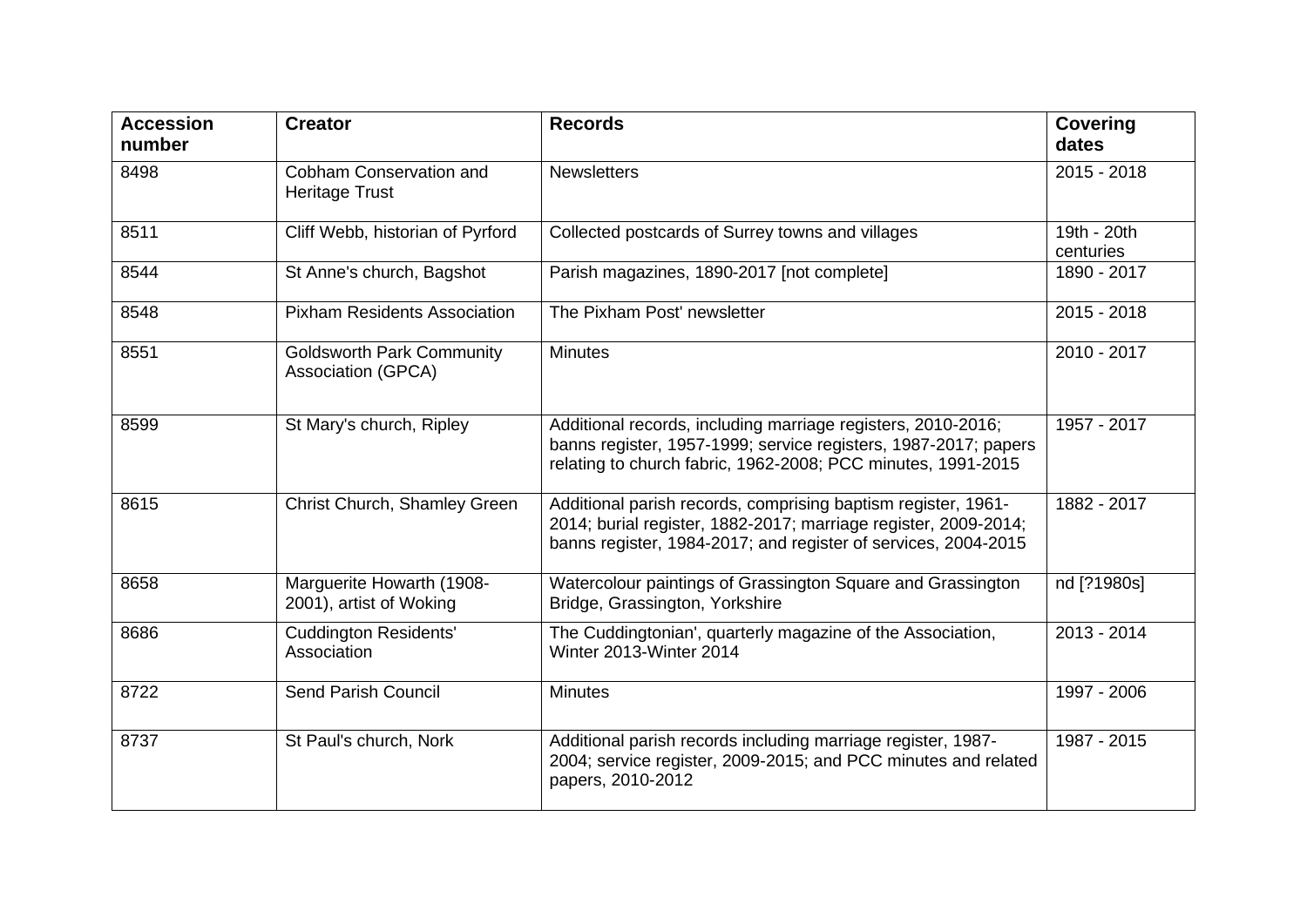| <b>Accession</b><br>number | <b>Creator</b>                                         | <b>Records</b>                                                                                                                                                                                     | <b>Covering</b><br>dates |
|----------------------------|--------------------------------------------------------|----------------------------------------------------------------------------------------------------------------------------------------------------------------------------------------------------|--------------------------|
| 8498                       | Cobham Conservation and<br><b>Heritage Trust</b>       | <b>Newsletters</b>                                                                                                                                                                                 | 2015 - 2018              |
| 8511                       | Cliff Webb, historian of Pyrford                       | Collected postcards of Surrey towns and villages                                                                                                                                                   | 19th - 20th<br>centuries |
| 8544                       | St Anne's church, Bagshot                              | Parish magazines, 1890-2017 [not complete]                                                                                                                                                         | 1890 - 2017              |
| 8548                       | <b>Pixham Residents Association</b>                    | The Pixham Post' newsletter                                                                                                                                                                        | 2015 - 2018              |
| 8551                       | <b>Goldsworth Park Community</b><br>Association (GPCA) | <b>Minutes</b>                                                                                                                                                                                     | 2010 - 2017              |
| 8599                       | St Mary's church, Ripley                               | Additional records, including marriage registers, 2010-2016;<br>banns register, 1957-1999; service registers, 1987-2017; papers<br>relating to church fabric, 1962-2008; PCC minutes, 1991-2015    | 1957 - 2017              |
| 8615                       | Christ Church, Shamley Green                           | Additional parish records, comprising baptism register, 1961-<br>2014; burial register, 1882-2017; marriage register, 2009-2014;<br>banns register, 1984-2017; and register of services, 2004-2015 | 1882 - 2017              |
| 8658                       | Marguerite Howarth (1908-<br>2001), artist of Woking   | Watercolour paintings of Grassington Square and Grassington<br>Bridge, Grassington, Yorkshire                                                                                                      | nd [?1980s]              |
| 8686                       | <b>Cuddington Residents'</b><br>Association            | The Cuddingtonian', quarterly magazine of the Association,<br>Winter 2013-Winter 2014                                                                                                              | 2013 - 2014              |
| 8722                       | <b>Send Parish Council</b>                             | <b>Minutes</b>                                                                                                                                                                                     | 1997 - 2006              |
| 8737                       | St Paul's church, Nork                                 | Additional parish records including marriage register, 1987-<br>2004; service register, 2009-2015; and PCC minutes and related<br>papers, 2010-2012                                                | 1987 - 2015              |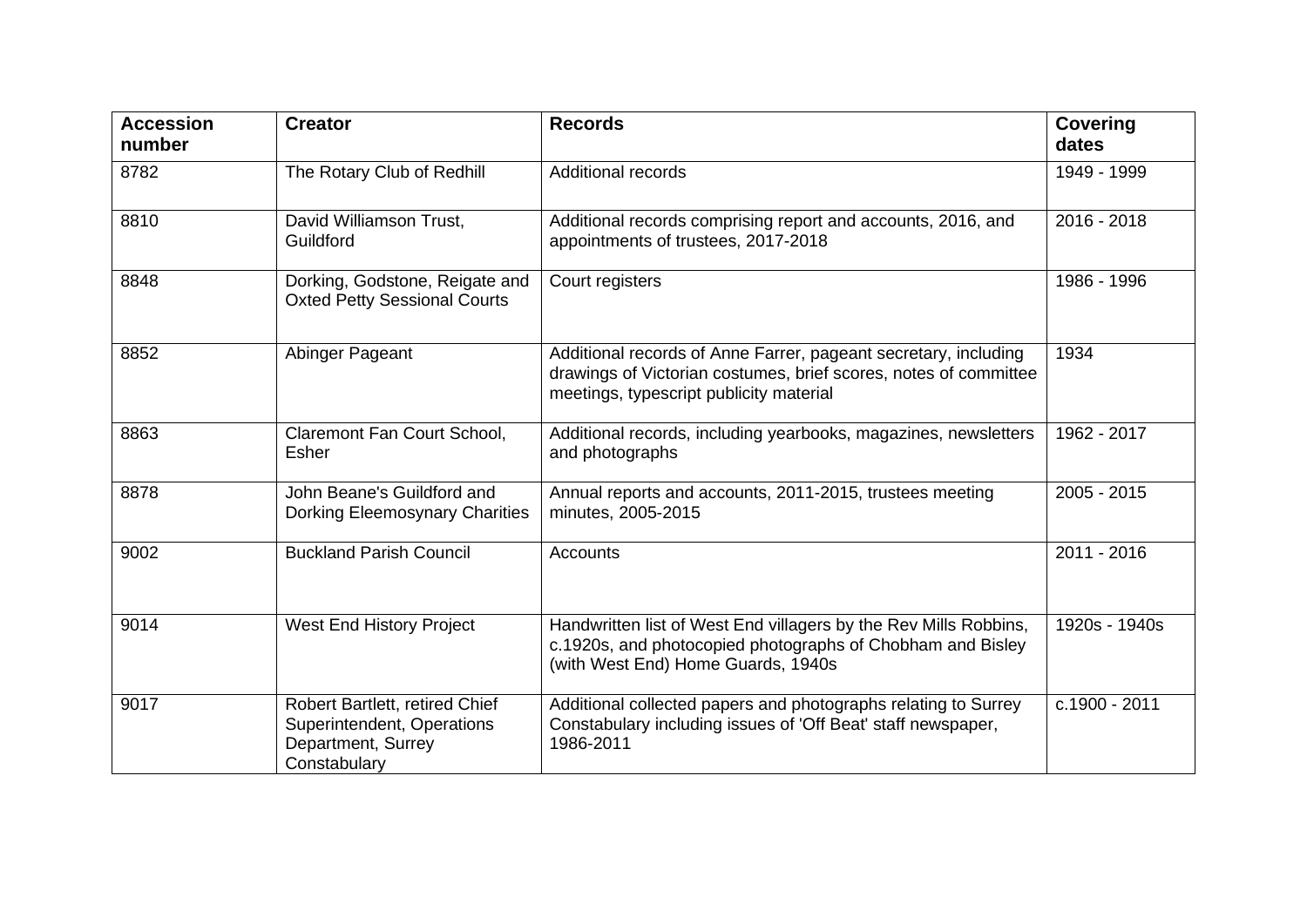| <b>Accession</b><br>number | <b>Creator</b>                                                                                     | <b>Records</b>                                                                                                                                                                 | <b>Covering</b><br>dates |
|----------------------------|----------------------------------------------------------------------------------------------------|--------------------------------------------------------------------------------------------------------------------------------------------------------------------------------|--------------------------|
| 8782                       | The Rotary Club of Redhill                                                                         | <b>Additional records</b>                                                                                                                                                      | 1949 - 1999              |
| 8810                       | David Williamson Trust,<br>Guildford                                                               | Additional records comprising report and accounts, 2016, and<br>appointments of trustees, 2017-2018                                                                            | 2016 - 2018              |
| 8848                       | Dorking, Godstone, Reigate and<br><b>Oxted Petty Sessional Courts</b>                              | Court registers                                                                                                                                                                | 1986 - 1996              |
| 8852                       | Abinger Pageant                                                                                    | Additional records of Anne Farrer, pageant secretary, including<br>drawings of Victorian costumes, brief scores, notes of committee<br>meetings, typescript publicity material | 1934                     |
| 8863                       | Claremont Fan Court School,<br>Esher                                                               | Additional records, including yearbooks, magazines, newsletters<br>and photographs                                                                                             | 1962 - 2017              |
| 8878                       | John Beane's Guildford and<br>Dorking Eleemosynary Charities                                       | Annual reports and accounts, 2011-2015, trustees meeting<br>minutes, 2005-2015                                                                                                 | 2005 - 2015              |
| 9002                       | <b>Buckland Parish Council</b>                                                                     | <b>Accounts</b>                                                                                                                                                                | 2011 - 2016              |
| 9014                       | <b>West End History Project</b>                                                                    | Handwritten list of West End villagers by the Rev Mills Robbins,<br>c.1920s, and photocopied photographs of Chobham and Bisley<br>(with West End) Home Guards, 1940s           | 1920s - 1940s            |
| 9017                       | Robert Bartlett, retired Chief<br>Superintendent, Operations<br>Department, Surrey<br>Constabulary | Additional collected papers and photographs relating to Surrey<br>Constabulary including issues of 'Off Beat' staff newspaper,<br>1986-2011                                    | c.1900 - 2011            |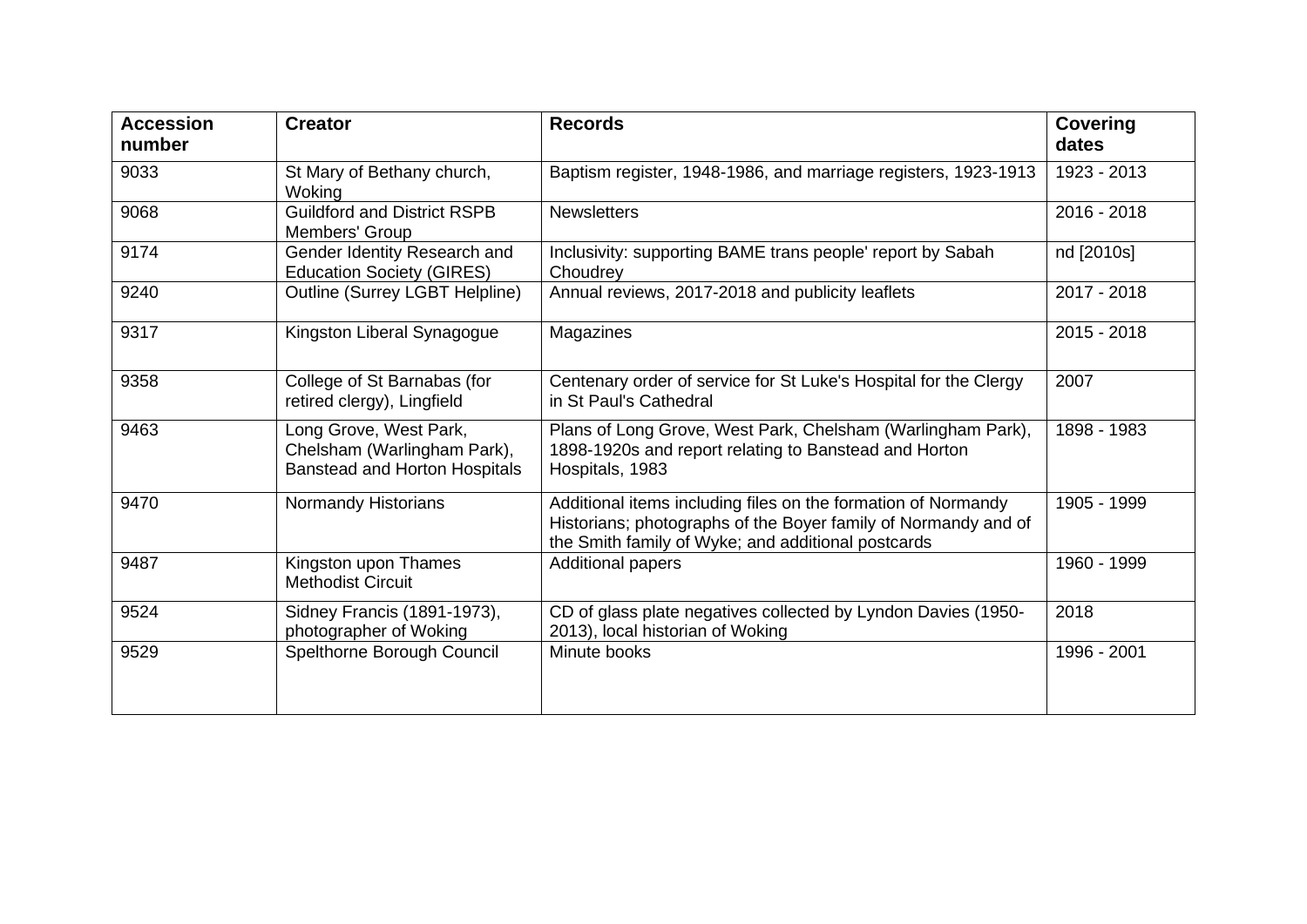| <b>Accession</b><br>number | <b>Creator</b>                                                                                | <b>Records</b>                                                                                                                                                                        | <b>Covering</b><br>dates |
|----------------------------|-----------------------------------------------------------------------------------------------|---------------------------------------------------------------------------------------------------------------------------------------------------------------------------------------|--------------------------|
| 9033                       | St Mary of Bethany church,<br>Woking                                                          | Baptism register, 1948-1986, and marriage registers, 1923-1913                                                                                                                        | 1923 - 2013              |
| 9068                       | <b>Guildford and District RSPB</b><br>Members' Group                                          | <b>Newsletters</b>                                                                                                                                                                    | 2016 - 2018              |
| 9174                       | Gender Identity Research and<br><b>Education Society (GIRES)</b>                              | Inclusivity: supporting BAME trans people' report by Sabah<br>Choudrey                                                                                                                | nd [2010s]               |
| 9240                       | Outline (Surrey LGBT Helpline)                                                                | Annual reviews, 2017-2018 and publicity leaflets                                                                                                                                      | 2017 - 2018              |
| 9317                       | Kingston Liberal Synagogue                                                                    | Magazines                                                                                                                                                                             | 2015 - 2018              |
| 9358                       | College of St Barnabas (for<br>retired clergy), Lingfield                                     | Centenary order of service for St Luke's Hospital for the Clergy<br>in St Paul's Cathedral                                                                                            | 2007                     |
| 9463                       | Long Grove, West Park,<br>Chelsham (Warlingham Park),<br><b>Banstead and Horton Hospitals</b> | Plans of Long Grove, West Park, Chelsham (Warlingham Park),<br>1898-1920s and report relating to Banstead and Horton<br>Hospitals, 1983                                               | 1898 - 1983              |
| 9470                       | Normandy Historians                                                                           | Additional items including files on the formation of Normandy<br>Historians; photographs of the Boyer family of Normandy and of<br>the Smith family of Wyke; and additional postcards | 1905 - 1999              |
| 9487                       | Kingston upon Thames<br><b>Methodist Circuit</b>                                              | <b>Additional papers</b>                                                                                                                                                              | 1960 - 1999              |
| 9524                       | Sidney Francis (1891-1973),<br>photographer of Woking                                         | CD of glass plate negatives collected by Lyndon Davies (1950-<br>2013), local historian of Woking                                                                                     | 2018                     |
| 9529                       | Spelthorne Borough Council                                                                    | Minute books                                                                                                                                                                          | 1996 - 2001              |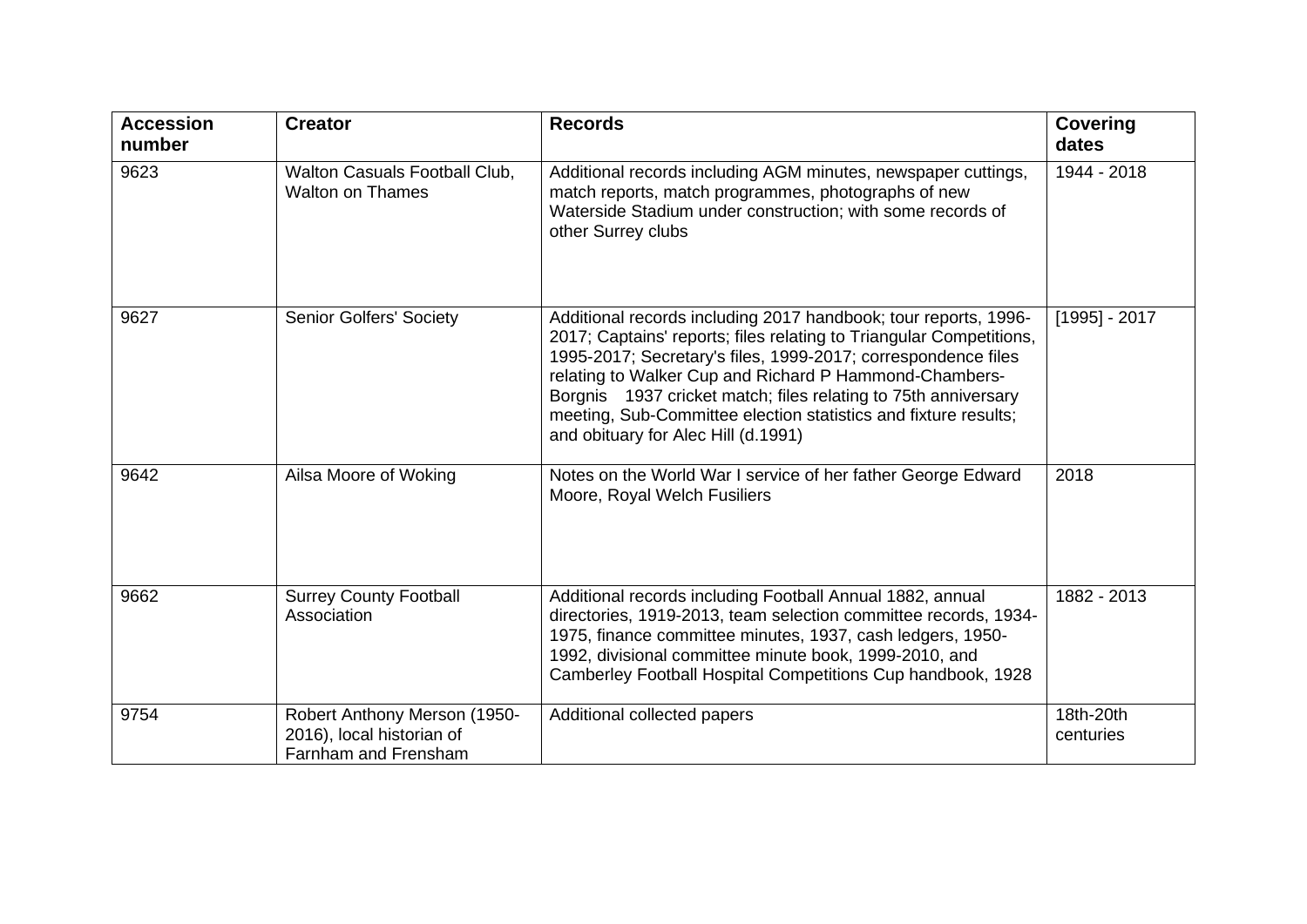| <b>Accession</b><br>number | <b>Creator</b>                                                                    | <b>Records</b>                                                                                                                                                                                                                                                                                                                                                                                                                                | <b>Covering</b><br>dates |
|----------------------------|-----------------------------------------------------------------------------------|-----------------------------------------------------------------------------------------------------------------------------------------------------------------------------------------------------------------------------------------------------------------------------------------------------------------------------------------------------------------------------------------------------------------------------------------------|--------------------------|
| 9623                       | <b>Walton Casuals Football Club,</b><br><b>Walton on Thames</b>                   | Additional records including AGM minutes, newspaper cuttings,<br>match reports, match programmes, photographs of new<br>Waterside Stadium under construction; with some records of<br>other Surrey clubs                                                                                                                                                                                                                                      | 1944 - 2018              |
| 9627                       | <b>Senior Golfers' Society</b>                                                    | Additional records including 2017 handbook; tour reports, 1996-<br>2017; Captains' reports; files relating to Triangular Competitions,<br>1995-2017; Secretary's files, 1999-2017; correspondence files<br>relating to Walker Cup and Richard P Hammond-Chambers-<br>Borgnis 1937 cricket match; files relating to 75th anniversary<br>meeting, Sub-Committee election statistics and fixture results;<br>and obituary for Alec Hill (d.1991) | $[1995] - 2017$          |
| 9642                       | Ailsa Moore of Woking                                                             | Notes on the World War I service of her father George Edward<br>Moore, Royal Welch Fusiliers                                                                                                                                                                                                                                                                                                                                                  | 2018                     |
| 9662                       | <b>Surrey County Football</b><br>Association                                      | Additional records including Football Annual 1882, annual<br>directories, 1919-2013, team selection committee records, 1934-<br>1975, finance committee minutes, 1937, cash ledgers, 1950-<br>1992, divisional committee minute book, 1999-2010, and<br>Camberley Football Hospital Competitions Cup handbook, 1928                                                                                                                           | 1882 - 2013              |
| 9754                       | Robert Anthony Merson (1950-<br>2016), local historian of<br>Farnham and Frensham | Additional collected papers                                                                                                                                                                                                                                                                                                                                                                                                                   | 18th-20th<br>centuries   |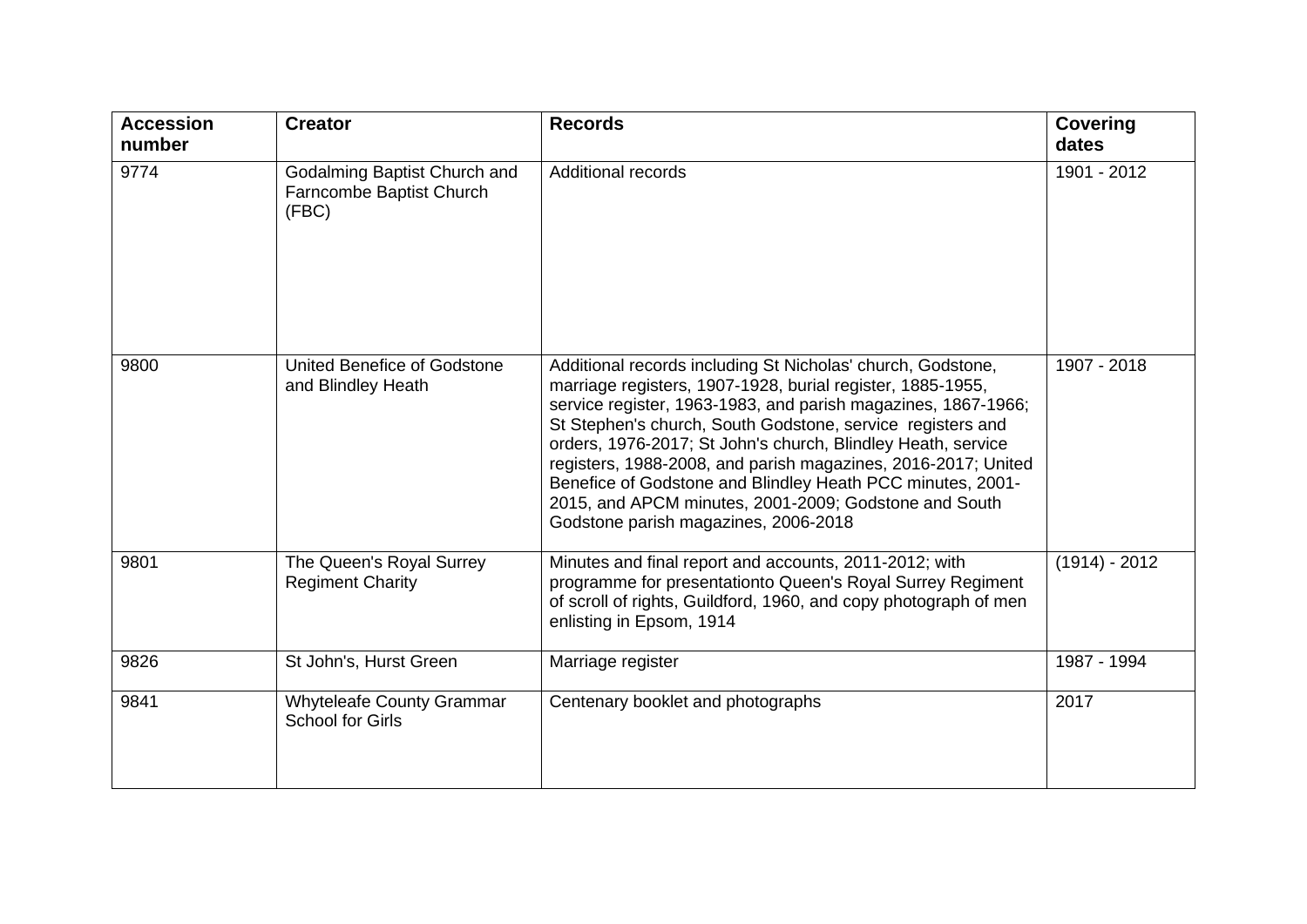| <b>Accession</b><br>number | <b>Creator</b>                                                    | <b>Records</b>                                                                                                                                                                                                                                                                                                                                                                                                                                                                                                                                           | Covering<br>dates |
|----------------------------|-------------------------------------------------------------------|----------------------------------------------------------------------------------------------------------------------------------------------------------------------------------------------------------------------------------------------------------------------------------------------------------------------------------------------------------------------------------------------------------------------------------------------------------------------------------------------------------------------------------------------------------|-------------------|
| 9774                       | Godalming Baptist Church and<br>Farncombe Baptist Church<br>(FBC) | <b>Additional records</b>                                                                                                                                                                                                                                                                                                                                                                                                                                                                                                                                | 1901 - 2012       |
| 9800                       | United Benefice of Godstone<br>and Blindley Heath                 | Additional records including St Nicholas' church, Godstone,<br>marriage registers, 1907-1928, burial register, 1885-1955,<br>service register, 1963-1983, and parish magazines, 1867-1966;<br>St Stephen's church, South Godstone, service registers and<br>orders, 1976-2017; St John's church, Blindley Heath, service<br>registers, 1988-2008, and parish magazines, 2016-2017; United<br>Benefice of Godstone and Blindley Heath PCC minutes, 2001-<br>2015, and APCM minutes, 2001-2009; Godstone and South<br>Godstone parish magazines, 2006-2018 | 1907 - 2018       |
| 9801                       | The Queen's Royal Surrey<br><b>Regiment Charity</b>               | Minutes and final report and accounts, 2011-2012; with<br>programme for presentationto Queen's Royal Surrey Regiment<br>of scroll of rights, Guildford, 1960, and copy photograph of men<br>enlisting in Epsom, 1914                                                                                                                                                                                                                                                                                                                                     | $(1914) - 2012$   |
| 9826                       | St John's, Hurst Green                                            | Marriage register                                                                                                                                                                                                                                                                                                                                                                                                                                                                                                                                        | 1987 - 1994       |
| 9841                       | <b>Whyteleafe County Grammar</b><br><b>School for Girls</b>       | Centenary booklet and photographs                                                                                                                                                                                                                                                                                                                                                                                                                                                                                                                        | 2017              |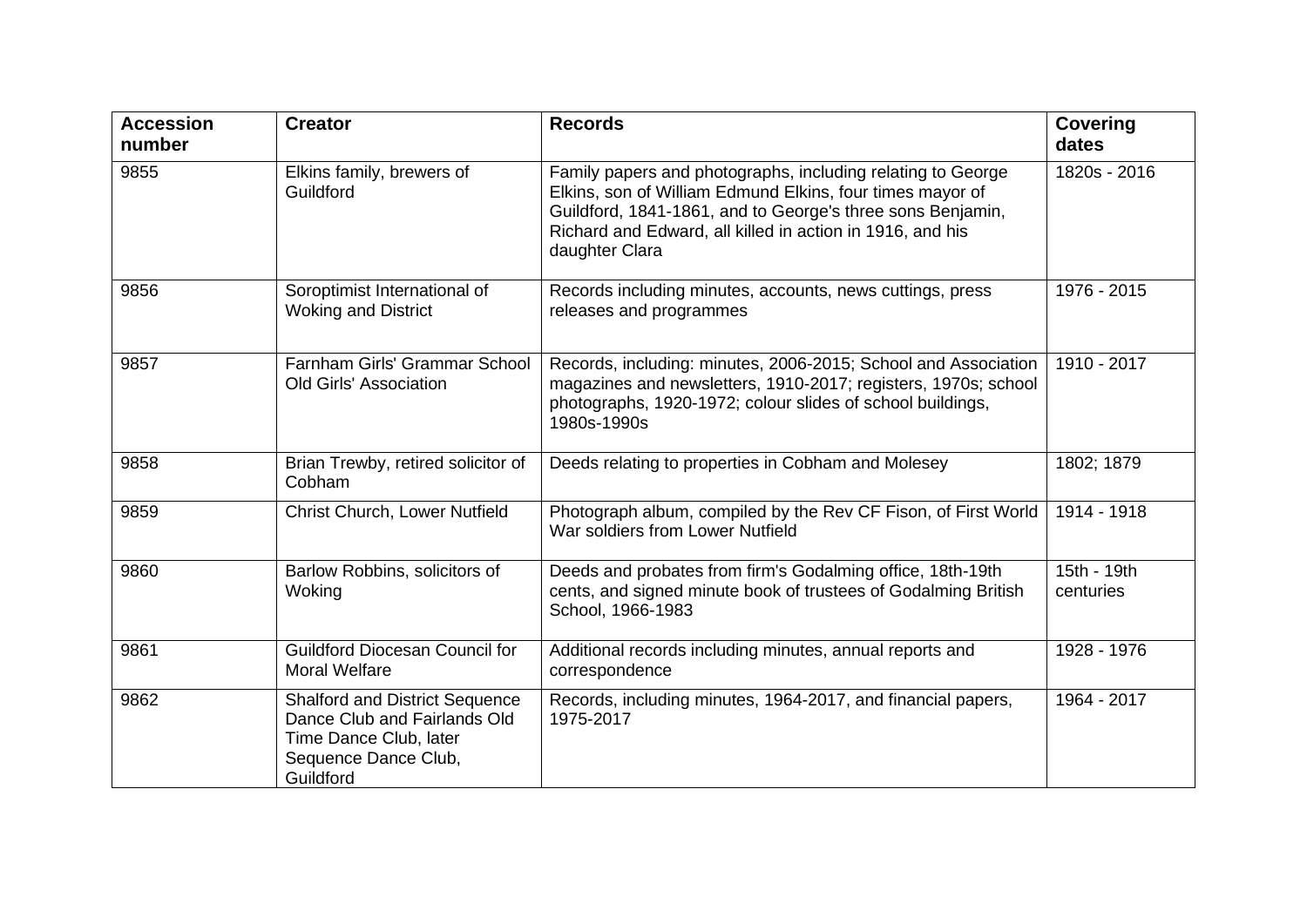| <b>Accession</b><br>number | <b>Creator</b>                                                                                                                       | <b>Records</b>                                                                                                                                                                                                                                                        | <b>Covering</b><br>dates |
|----------------------------|--------------------------------------------------------------------------------------------------------------------------------------|-----------------------------------------------------------------------------------------------------------------------------------------------------------------------------------------------------------------------------------------------------------------------|--------------------------|
| 9855                       | Elkins family, brewers of<br>Guildford                                                                                               | Family papers and photographs, including relating to George<br>Elkins, son of William Edmund Elkins, four times mayor of<br>Guildford, 1841-1861, and to George's three sons Benjamin,<br>Richard and Edward, all killed in action in 1916, and his<br>daughter Clara | 1820s - 2016             |
| 9856                       | Soroptimist International of<br><b>Woking and District</b>                                                                           | Records including minutes, accounts, news cuttings, press<br>releases and programmes                                                                                                                                                                                  | 1976 - 2015              |
| 9857                       | Farnham Girls' Grammar School<br><b>Old Girls' Association</b>                                                                       | Records, including: minutes, 2006-2015; School and Association<br>magazines and newsletters, 1910-2017; registers, 1970s; school<br>photographs, 1920-1972; colour slides of school buildings,<br>1980s-1990s                                                         | 1910 - 2017              |
| 9858                       | Brian Trewby, retired solicitor of<br>Cobham                                                                                         | Deeds relating to properties in Cobham and Molesey                                                                                                                                                                                                                    | 1802; 1879               |
| 9859                       | <b>Christ Church, Lower Nutfield</b>                                                                                                 | Photograph album, compiled by the Rev CF Fison, of First World<br>War soldiers from Lower Nutfield                                                                                                                                                                    | 1914 - 1918              |
| 9860                       | Barlow Robbins, solicitors of<br>Woking                                                                                              | Deeds and probates from firm's Godalming office, 18th-19th<br>cents, and signed minute book of trustees of Godalming British<br>School, 1966-1983                                                                                                                     | 15th - 19th<br>centuries |
| 9861                       | <b>Guildford Diocesan Council for</b><br><b>Moral Welfare</b>                                                                        | Additional records including minutes, annual reports and<br>correspondence                                                                                                                                                                                            | 1928 - 1976              |
| 9862                       | <b>Shalford and District Sequence</b><br>Dance Club and Fairlands Old<br>Time Dance Club, later<br>Sequence Dance Club,<br>Guildford | Records, including minutes, 1964-2017, and financial papers,<br>1975-2017                                                                                                                                                                                             | 1964 - 2017              |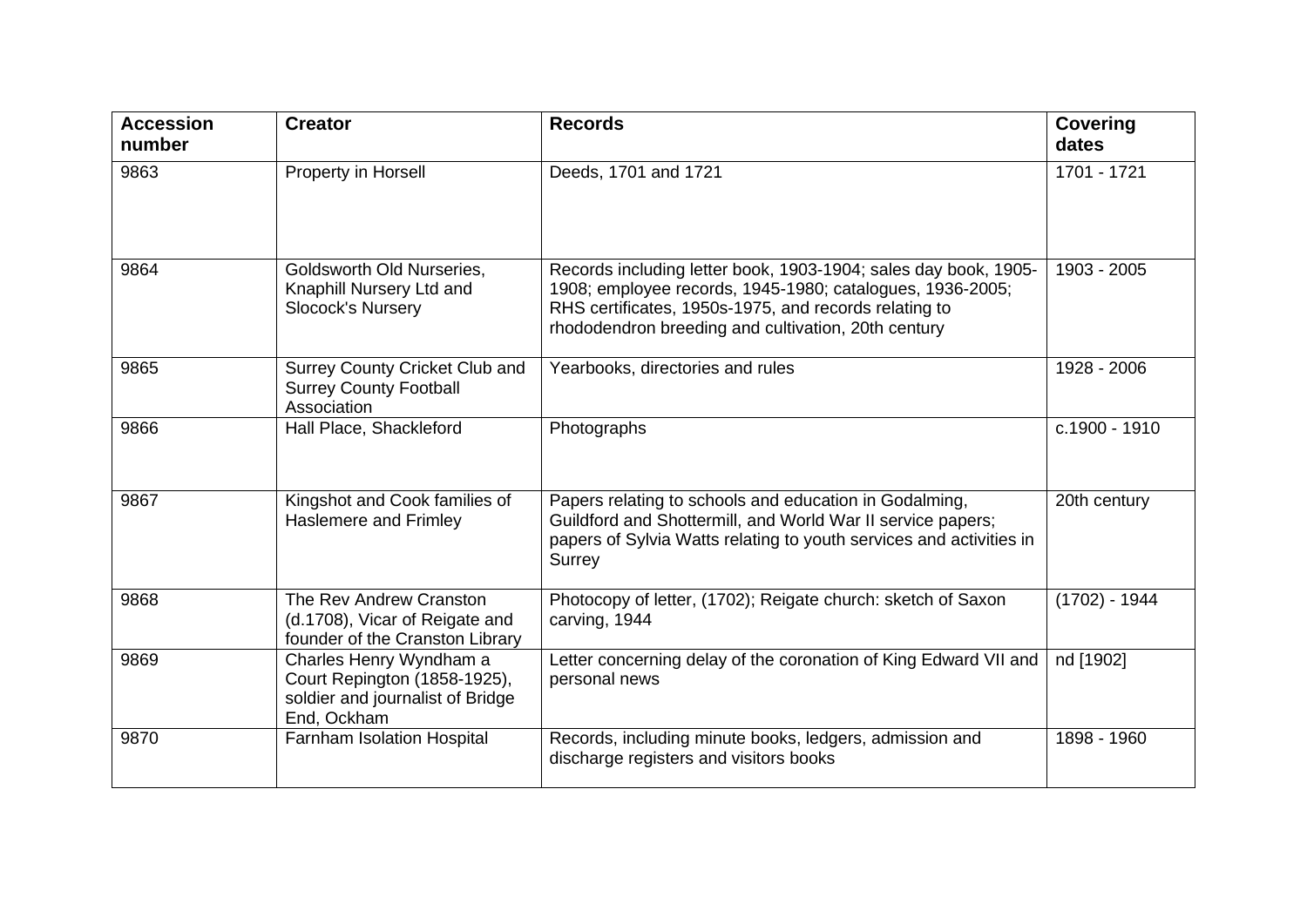| <b>Accession</b><br>number | <b>Creator</b>                                                                                             | <b>Records</b>                                                                                                                                                                                                                               | <b>Covering</b><br>dates |
|----------------------------|------------------------------------------------------------------------------------------------------------|----------------------------------------------------------------------------------------------------------------------------------------------------------------------------------------------------------------------------------------------|--------------------------|
| 9863                       | Property in Horsell                                                                                        | Deeds, 1701 and 1721                                                                                                                                                                                                                         | 1701 - 1721              |
| 9864                       | Goldsworth Old Nurseries,<br>Knaphill Nursery Ltd and<br><b>Slocock's Nursery</b>                          | Records including letter book, 1903-1904; sales day book, 1905-<br>1908; employee records, 1945-1980; catalogues, 1936-2005;<br>RHS certificates, 1950s-1975, and records relating to<br>rhododendron breeding and cultivation, 20th century | 1903 - 2005              |
| 9865                       | <b>Surrey County Cricket Club and</b><br><b>Surrey County Football</b><br>Association                      | Yearbooks, directories and rules                                                                                                                                                                                                             | 1928 - 2006              |
| 9866                       | Hall Place, Shackleford                                                                                    | Photographs                                                                                                                                                                                                                                  | c.1900 - 1910            |
| 9867                       | Kingshot and Cook families of<br><b>Haslemere and Frimley</b>                                              | Papers relating to schools and education in Godalming,<br>Guildford and Shottermill, and World War II service papers;<br>papers of Sylvia Watts relating to youth services and activities in<br>Surrey                                       | 20th century             |
| 9868                       | The Rev Andrew Cranston<br>(d.1708), Vicar of Reigate and<br>founder of the Cranston Library               | Photocopy of letter, (1702); Reigate church: sketch of Saxon<br>carving, 1944                                                                                                                                                                | $(1702) - 1944$          |
| 9869                       | Charles Henry Wyndham a<br>Court Repington (1858-1925),<br>soldier and journalist of Bridge<br>End, Ockham | Letter concerning delay of the coronation of King Edward VII and<br>personal news                                                                                                                                                            | nd [1902]                |
| 9870                       | <b>Farnham Isolation Hospital</b>                                                                          | Records, including minute books, ledgers, admission and<br>discharge registers and visitors books                                                                                                                                            | 1898 - 1960              |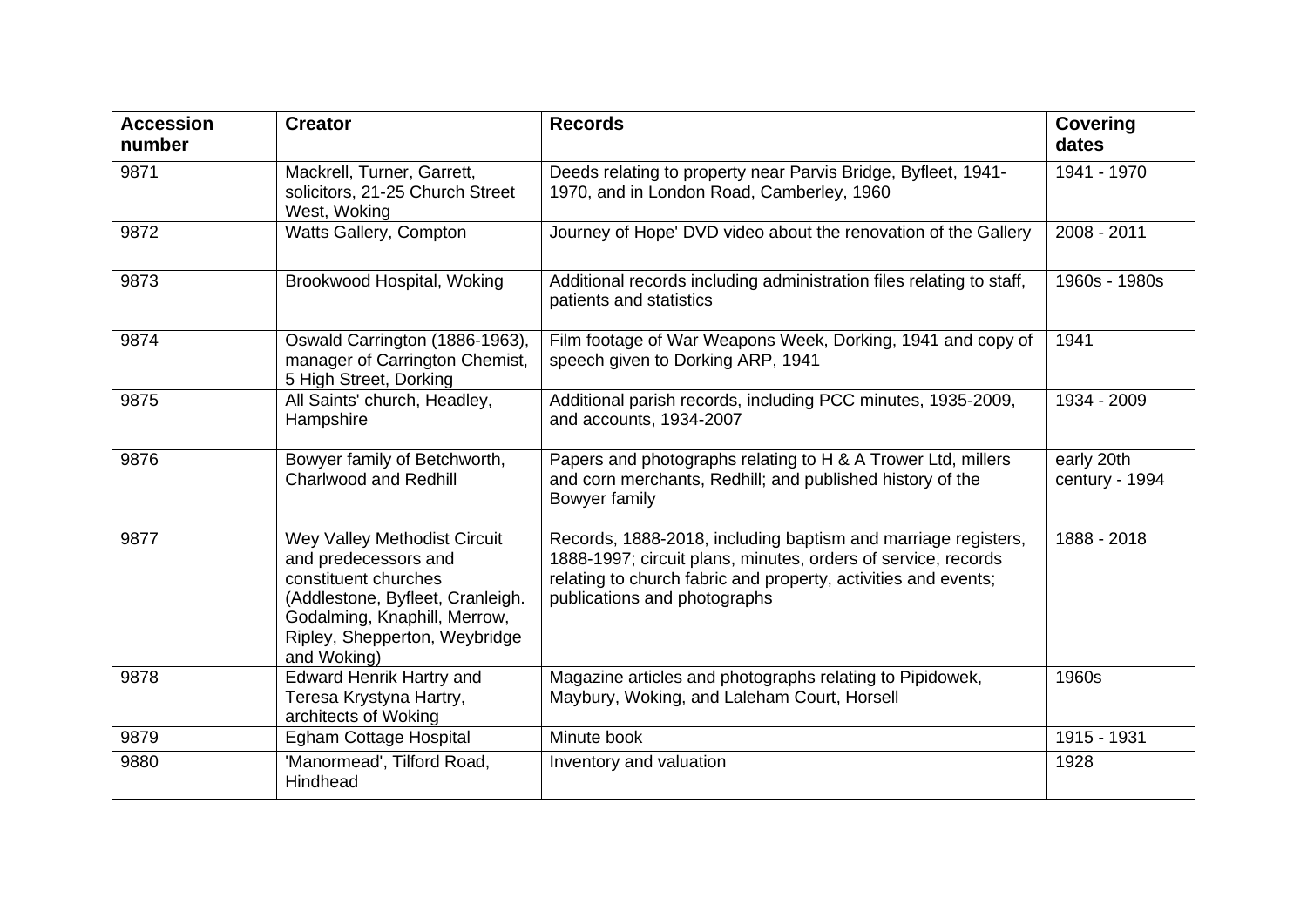| <b>Accession</b><br>number | <b>Creator</b>                                                                                                                                                                                   | <b>Records</b>                                                                                                                                                                                                                   | <b>Covering</b><br>dates     |
|----------------------------|--------------------------------------------------------------------------------------------------------------------------------------------------------------------------------------------------|----------------------------------------------------------------------------------------------------------------------------------------------------------------------------------------------------------------------------------|------------------------------|
| 9871                       | Mackrell, Turner, Garrett,<br>solicitors, 21-25 Church Street<br>West, Woking                                                                                                                    | Deeds relating to property near Parvis Bridge, Byfleet, 1941-<br>1970, and in London Road, Camberley, 1960                                                                                                                       | 1941 - 1970                  |
| 9872                       | Watts Gallery, Compton                                                                                                                                                                           | Journey of Hope' DVD video about the renovation of the Gallery                                                                                                                                                                   | 2008 - 2011                  |
| 9873                       | Brookwood Hospital, Woking                                                                                                                                                                       | Additional records including administration files relating to staff,<br>patients and statistics                                                                                                                                  | 1960s - 1980s                |
| 9874                       | Oswald Carrington (1886-1963),<br>manager of Carrington Chemist,<br>5 High Street, Dorking                                                                                                       | Film footage of War Weapons Week, Dorking, 1941 and copy of<br>speech given to Dorking ARP, 1941                                                                                                                                 | 1941                         |
| 9875                       | All Saints' church, Headley,<br>Hampshire                                                                                                                                                        | Additional parish records, including PCC minutes, 1935-2009,<br>and accounts, 1934-2007                                                                                                                                          | 1934 - 2009                  |
| 9876                       | Bowyer family of Betchworth,<br><b>Charlwood and Redhill</b>                                                                                                                                     | Papers and photographs relating to H & A Trower Ltd, millers<br>and corn merchants, Redhill; and published history of the<br>Bowyer family                                                                                       | early 20th<br>century - 1994 |
| 9877                       | Wey Valley Methodist Circuit<br>and predecessors and<br>constituent churches<br>(Addlestone, Byfleet, Cranleigh.<br>Godalming, Knaphill, Merrow,<br>Ripley, Shepperton, Weybridge<br>and Woking) | Records, 1888-2018, including baptism and marriage registers,<br>1888-1997; circuit plans, minutes, orders of service, records<br>relating to church fabric and property, activities and events;<br>publications and photographs | 1888 - 2018                  |
| 9878                       | <b>Edward Henrik Hartry and</b><br>Teresa Krystyna Hartry,<br>architects of Woking                                                                                                               | Magazine articles and photographs relating to Pipidowek,<br>Maybury, Woking, and Laleham Court, Horsell                                                                                                                          | 1960s                        |
| 9879                       | Egham Cottage Hospital                                                                                                                                                                           | Minute book                                                                                                                                                                                                                      | 1915 - 1931                  |
| 9880                       | 'Manormead', Tilford Road,<br>Hindhead                                                                                                                                                           | Inventory and valuation                                                                                                                                                                                                          | 1928                         |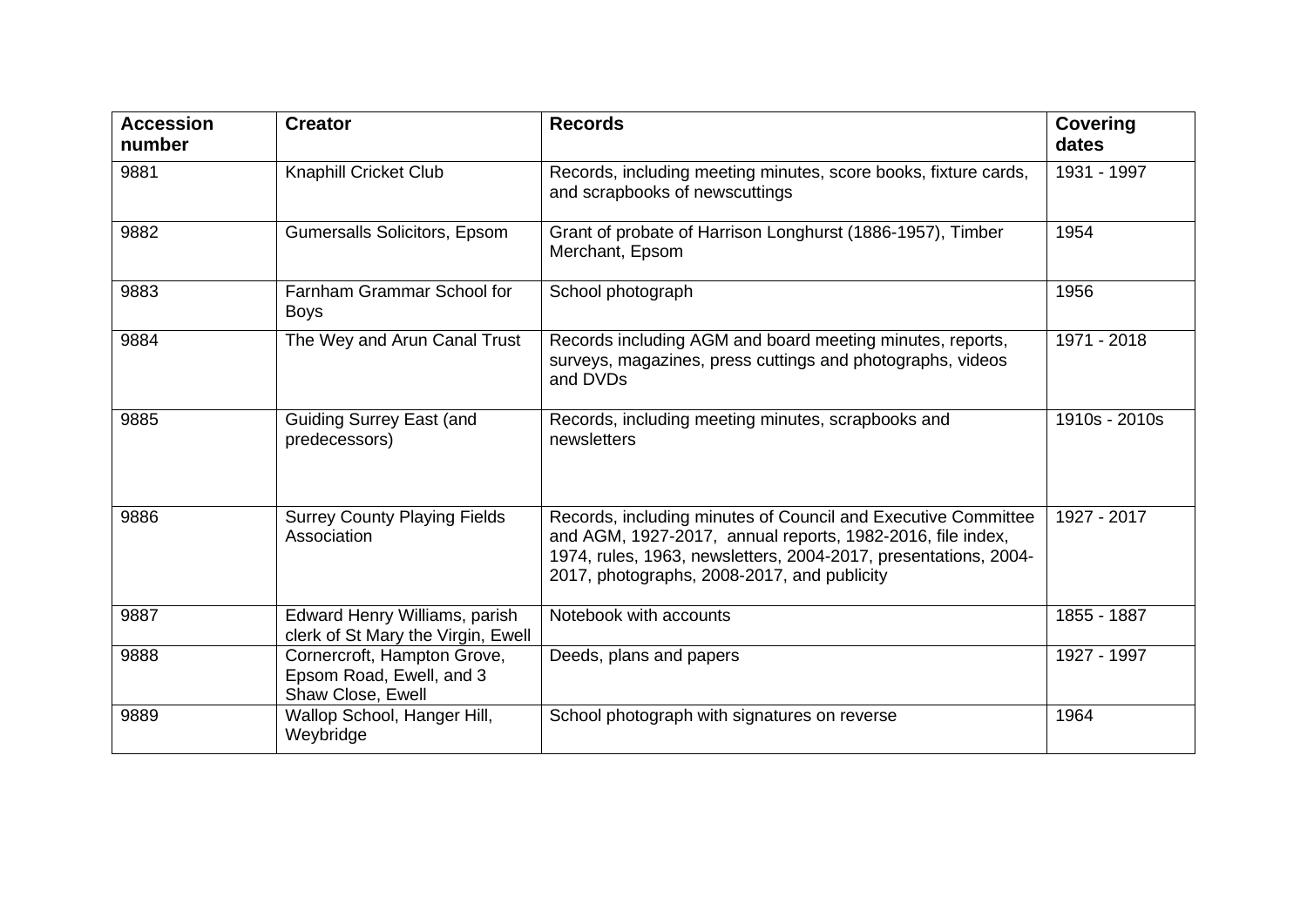| <b>Accession</b><br>number | <b>Creator</b>                                                               | <b>Records</b>                                                                                                                                                                                                                                | <b>Covering</b><br>dates |
|----------------------------|------------------------------------------------------------------------------|-----------------------------------------------------------------------------------------------------------------------------------------------------------------------------------------------------------------------------------------------|--------------------------|
| 9881                       | <b>Knaphill Cricket Club</b>                                                 | Records, including meeting minutes, score books, fixture cards,<br>and scrapbooks of newscuttings                                                                                                                                             | 1931 - 1997              |
| 9882                       | Gumersalls Solicitors, Epsom                                                 | Grant of probate of Harrison Longhurst (1886-1957), Timber<br>Merchant, Epsom                                                                                                                                                                 | 1954                     |
| 9883                       | Farnham Grammar School for<br><b>Boys</b>                                    | School photograph                                                                                                                                                                                                                             | 1956                     |
| 9884                       | The Wey and Arun Canal Trust                                                 | Records including AGM and board meeting minutes, reports,<br>surveys, magazines, press cuttings and photographs, videos<br>and DVDs                                                                                                           | 1971 - 2018              |
| 9885                       | <b>Guiding Surrey East (and</b><br>predecessors)                             | Records, including meeting minutes, scrapbooks and<br>newsletters                                                                                                                                                                             | 1910s - 2010s            |
| 9886                       | <b>Surrey County Playing Fields</b><br>Association                           | Records, including minutes of Council and Executive Committee<br>and AGM, 1927-2017, annual reports, 1982-2016, file index,<br>1974, rules, 1963, newsletters, 2004-2017, presentations, 2004-<br>2017, photographs, 2008-2017, and publicity | 1927 - 2017              |
| 9887                       | Edward Henry Williams, parish<br>clerk of St Mary the Virgin, Ewell          | Notebook with accounts                                                                                                                                                                                                                        | 1855 - 1887              |
| 9888                       | Cornercroft, Hampton Grove,<br>Epsom Road, Ewell, and 3<br>Shaw Close, Ewell | Deeds, plans and papers                                                                                                                                                                                                                       | 1927 - 1997              |
| 9889                       | Wallop School, Hanger Hill,<br>Weybridge                                     | School photograph with signatures on reverse                                                                                                                                                                                                  | 1964                     |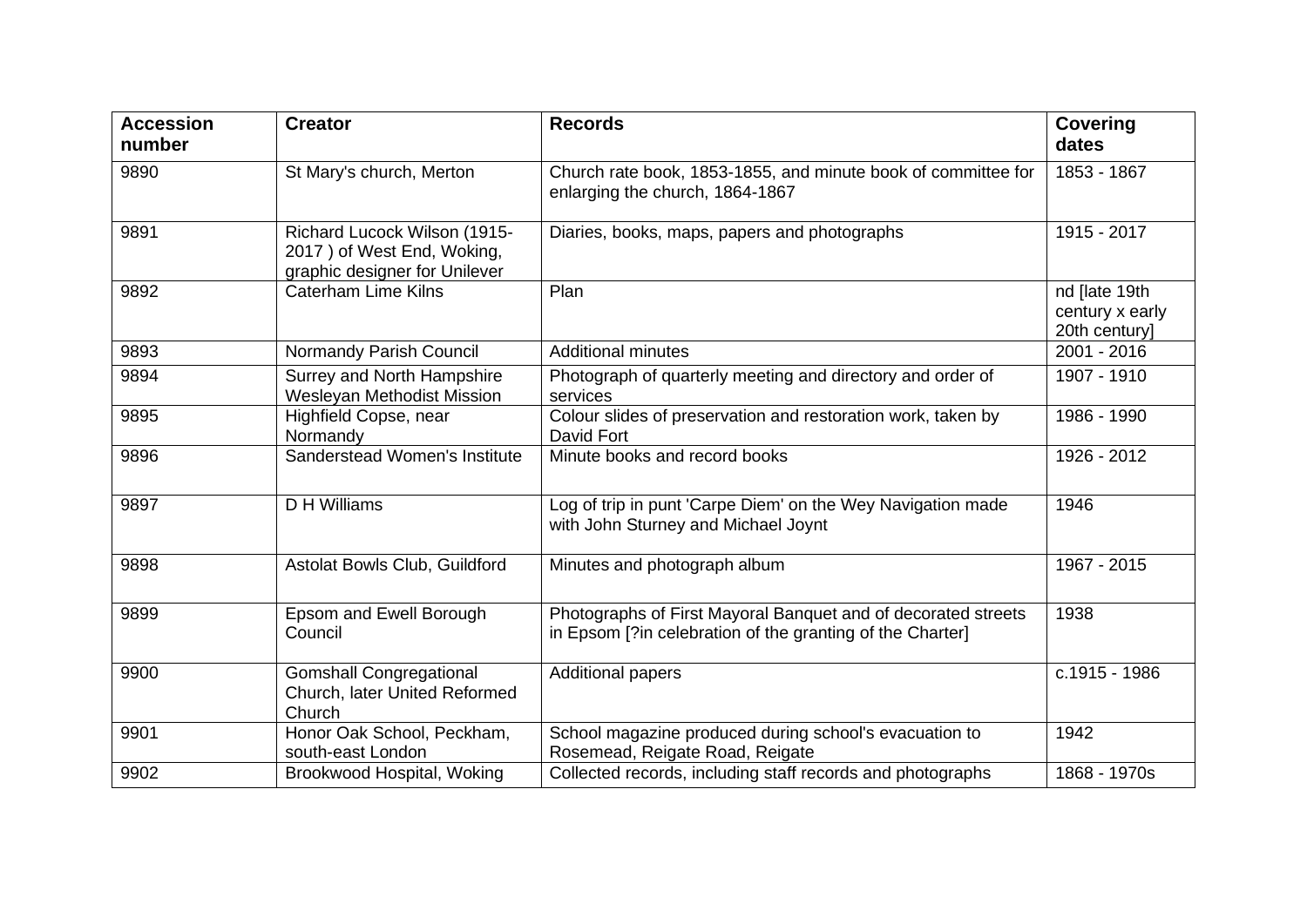| <b>Accession</b><br>number | <b>Creator</b>                                                                              | <b>Records</b>                                                                                                             | <b>Covering</b><br>dates                          |
|----------------------------|---------------------------------------------------------------------------------------------|----------------------------------------------------------------------------------------------------------------------------|---------------------------------------------------|
| 9890                       | St Mary's church, Merton                                                                    | Church rate book, 1853-1855, and minute book of committee for<br>enlarging the church, 1864-1867                           | 1853 - 1867                                       |
| 9891                       | Richard Lucock Wilson (1915-<br>2017) of West End, Woking,<br>graphic designer for Unilever | Diaries, books, maps, papers and photographs                                                                               | 1915 - 2017                                       |
| 9892                       | <b>Caterham Lime Kilns</b>                                                                  | Plan                                                                                                                       | nd [late 19th<br>century x early<br>20th century] |
| 9893                       | Normandy Parish Council                                                                     | <b>Additional minutes</b>                                                                                                  | 2001 - 2016                                       |
| 9894                       | <b>Surrey and North Hampshire</b><br><b>Wesleyan Methodist Mission</b>                      | Photograph of quarterly meeting and directory and order of<br>services                                                     | 1907 - 1910                                       |
| 9895                       | Highfield Copse, near<br>Normandy                                                           | Colour slides of preservation and restoration work, taken by<br>David Fort                                                 | 1986 - 1990                                       |
| 9896                       | Sanderstead Women's Institute                                                               | Minute books and record books                                                                                              | 1926 - 2012                                       |
| 9897                       | D H Williams                                                                                | Log of trip in punt 'Carpe Diem' on the Wey Navigation made<br>with John Sturney and Michael Joynt                         | 1946                                              |
| 9898                       | Astolat Bowls Club, Guildford                                                               | Minutes and photograph album                                                                                               | 1967 - 2015                                       |
| 9899                       | Epsom and Ewell Borough<br>Council                                                          | Photographs of First Mayoral Banquet and of decorated streets<br>in Epsom [?in celebration of the granting of the Charter] | 1938                                              |
| 9900                       | <b>Gomshall Congregational</b><br>Church, later United Reformed<br>Church                   | <b>Additional papers</b>                                                                                                   | c.1915 - 1986                                     |
| 9901                       | Honor Oak School, Peckham,<br>south-east London                                             | School magazine produced during school's evacuation to<br>Rosemead, Reigate Road, Reigate                                  | 1942                                              |
| 9902                       | Brookwood Hospital, Woking                                                                  | Collected records, including staff records and photographs                                                                 | 1868 - 1970s                                      |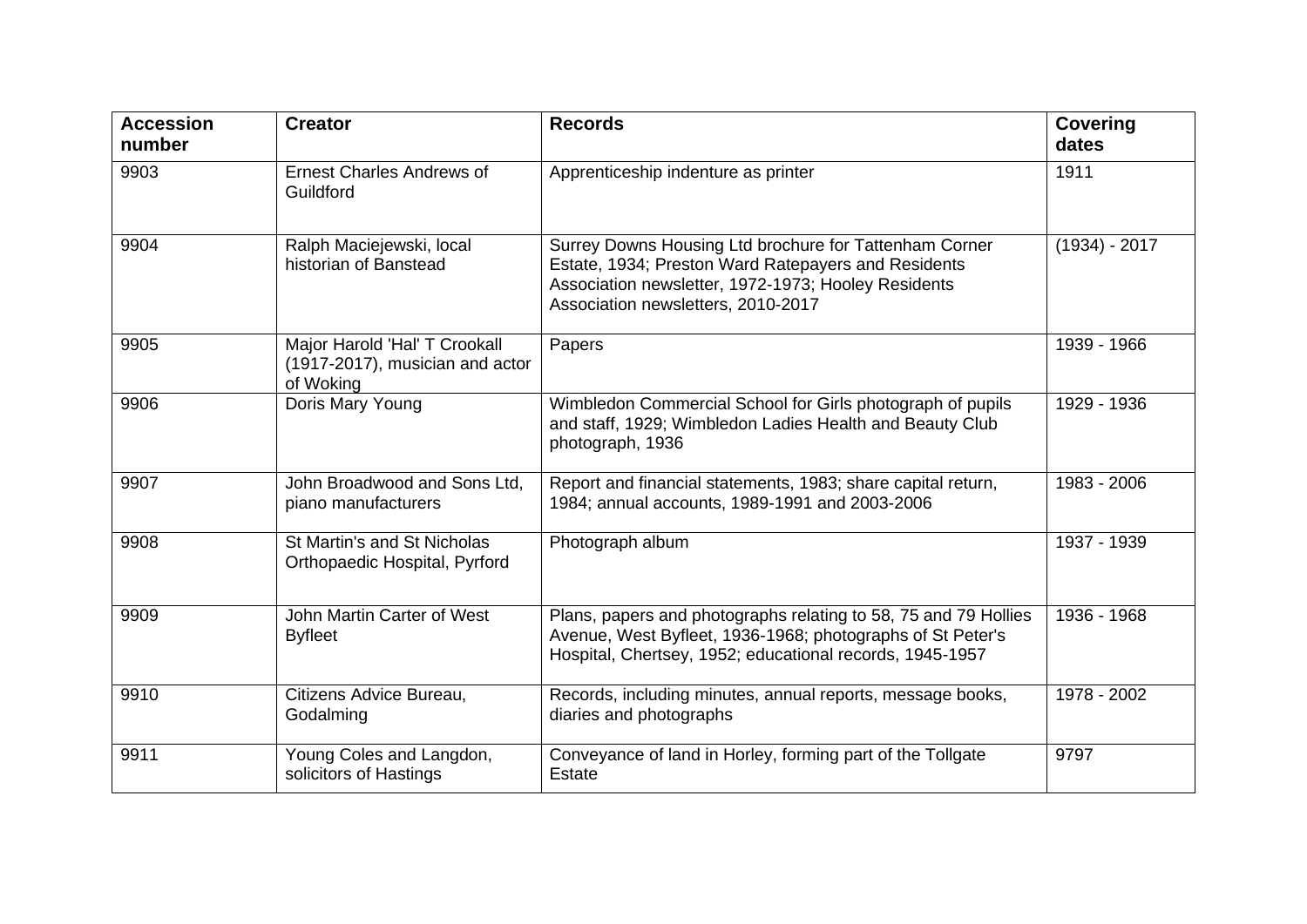| <b>Accession</b><br>number | <b>Creator</b>                                                                | <b>Records</b>                                                                                                                                                                                             | <b>Covering</b><br>dates |
|----------------------------|-------------------------------------------------------------------------------|------------------------------------------------------------------------------------------------------------------------------------------------------------------------------------------------------------|--------------------------|
| 9903                       | <b>Ernest Charles Andrews of</b><br>Guildford                                 | Apprenticeship indenture as printer                                                                                                                                                                        | 1911                     |
| 9904                       | Ralph Maciejewski, local<br>historian of Banstead                             | Surrey Downs Housing Ltd brochure for Tattenham Corner<br>Estate, 1934; Preston Ward Ratepayers and Residents<br>Association newsletter, 1972-1973; Hooley Residents<br>Association newsletters, 2010-2017 | $(1934) - 2017$          |
| 9905                       | Major Harold 'Hal' T Crookall<br>(1917-2017), musician and actor<br>of Woking | Papers                                                                                                                                                                                                     | 1939 - 1966              |
| 9906                       | Doris Mary Young                                                              | Wimbledon Commercial School for Girls photograph of pupils<br>and staff, 1929; Wimbledon Ladies Health and Beauty Club<br>photograph, 1936                                                                 | 1929 - 1936              |
| 9907                       | John Broadwood and Sons Ltd.<br>piano manufacturers                           | Report and financial statements, 1983; share capital return,<br>1984; annual accounts, 1989-1991 and 2003-2006                                                                                             | 1983 - 2006              |
| 9908                       | St Martin's and St Nicholas<br>Orthopaedic Hospital, Pyrford                  | Photograph album                                                                                                                                                                                           | 1937 - 1939              |
| 9909                       | John Martin Carter of West<br><b>Byfleet</b>                                  | Plans, papers and photographs relating to 58, 75 and 79 Hollies<br>Avenue, West Byfleet, 1936-1968; photographs of St Peter's<br>Hospital, Chertsey, 1952; educational records, 1945-1957                  | 1936 - 1968              |
| 9910                       | Citizens Advice Bureau,<br>Godalming                                          | Records, including minutes, annual reports, message books,<br>diaries and photographs                                                                                                                      | 1978 - 2002              |
| 9911                       | Young Coles and Langdon,<br>solicitors of Hastings                            | Conveyance of land in Horley, forming part of the Tollgate<br>Estate                                                                                                                                       | 9797                     |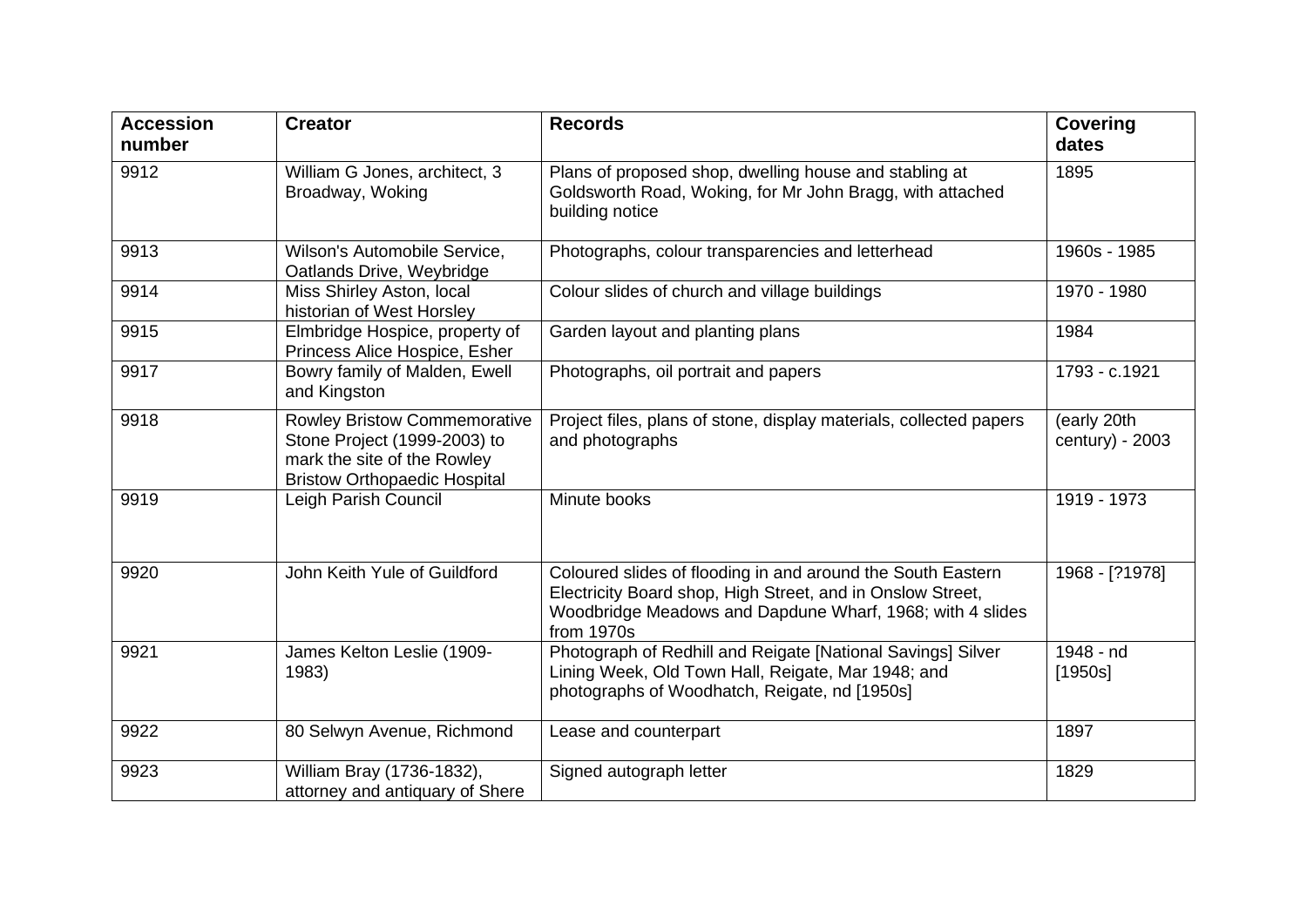| <b>Accession</b><br>number | <b>Creator</b>                                                                                                                            | <b>Records</b>                                                                                                                                                                                       | <b>Covering</b><br>dates       |
|----------------------------|-------------------------------------------------------------------------------------------------------------------------------------------|------------------------------------------------------------------------------------------------------------------------------------------------------------------------------------------------------|--------------------------------|
| 9912                       | William G Jones, architect, 3<br>Broadway, Woking                                                                                         | Plans of proposed shop, dwelling house and stabling at<br>Goldsworth Road, Woking, for Mr John Bragg, with attached<br>building notice                                                               | 1895                           |
| 9913                       | Wilson's Automobile Service,<br>Oatlands Drive, Weybridge                                                                                 | Photographs, colour transparencies and letterhead                                                                                                                                                    | 1960s - 1985                   |
| 9914                       | Miss Shirley Aston, local<br>historian of West Horsley                                                                                    | Colour slides of church and village buildings                                                                                                                                                        | 1970 - 1980                    |
| 9915                       | Elmbridge Hospice, property of<br>Princess Alice Hospice, Esher                                                                           | Garden layout and planting plans                                                                                                                                                                     | 1984                           |
| 9917                       | Bowry family of Malden, Ewell<br>and Kingston                                                                                             | Photographs, oil portrait and papers                                                                                                                                                                 | 1793 - c.1921                  |
| 9918                       | <b>Rowley Bristow Commemorative</b><br>Stone Project (1999-2003) to<br>mark the site of the Rowley<br><b>Bristow Orthopaedic Hospital</b> | Project files, plans of stone, display materials, collected papers<br>and photographs                                                                                                                | (early 20th<br>century) - 2003 |
| 9919                       | Leigh Parish Council                                                                                                                      | Minute books                                                                                                                                                                                         | 1919 - 1973                    |
| 9920                       | John Keith Yule of Guildford                                                                                                              | Coloured slides of flooding in and around the South Eastern<br>Electricity Board shop, High Street, and in Onslow Street,<br>Woodbridge Meadows and Dapdune Wharf, 1968; with 4 slides<br>from 1970s | 1968 - [?1978]                 |
| 9921                       | James Kelton Leslie (1909-<br>1983)                                                                                                       | Photograph of Redhill and Reigate [National Savings] Silver<br>Lining Week, Old Town Hall, Reigate, Mar 1948; and<br>photographs of Woodhatch, Reigate, nd [1950s]                                   | $1948 - nd$<br>[1950s]         |
| 9922                       | 80 Selwyn Avenue, Richmond                                                                                                                | Lease and counterpart                                                                                                                                                                                | 1897                           |
| 9923                       | William Bray (1736-1832),<br>attorney and antiquary of Shere                                                                              | Signed autograph letter                                                                                                                                                                              | 1829                           |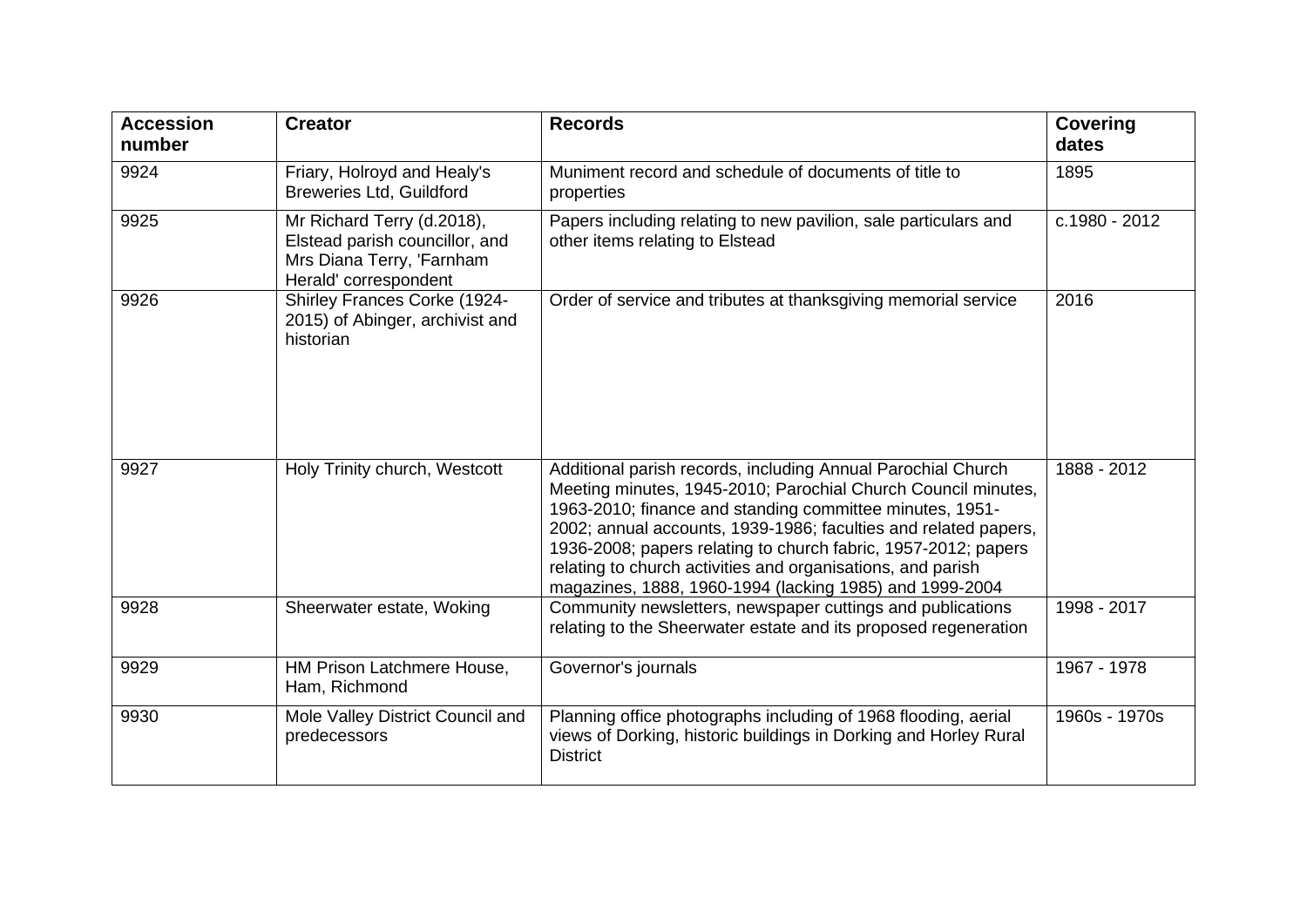| <b>Accession</b><br>number | <b>Creator</b>                                                                                                     | <b>Records</b>                                                                                                                                                                                                                                                                                                                                                                                                                                           | <b>Covering</b><br>dates |
|----------------------------|--------------------------------------------------------------------------------------------------------------------|----------------------------------------------------------------------------------------------------------------------------------------------------------------------------------------------------------------------------------------------------------------------------------------------------------------------------------------------------------------------------------------------------------------------------------------------------------|--------------------------|
| 9924                       | Friary, Holroyd and Healy's<br><b>Breweries Ltd, Guildford</b>                                                     | Muniment record and schedule of documents of title to<br>properties                                                                                                                                                                                                                                                                                                                                                                                      | 1895                     |
| 9925                       | Mr Richard Terry (d.2018),<br>Elstead parish councillor, and<br>Mrs Diana Terry, 'Farnham<br>Herald' correspondent | Papers including relating to new pavilion, sale particulars and<br>other items relating to Elstead                                                                                                                                                                                                                                                                                                                                                       | c.1980 - 2012            |
| 9926                       | Shirley Frances Corke (1924-<br>2015) of Abinger, archivist and<br>historian                                       | Order of service and tributes at thanksgiving memorial service                                                                                                                                                                                                                                                                                                                                                                                           | 2016                     |
| 9927                       | Holy Trinity church, Westcott                                                                                      | Additional parish records, including Annual Parochial Church<br>Meeting minutes, 1945-2010; Parochial Church Council minutes,<br>1963-2010; finance and standing committee minutes, 1951-<br>2002; annual accounts, 1939-1986; faculties and related papers,<br>1936-2008; papers relating to church fabric, 1957-2012; papers<br>relating to church activities and organisations, and parish<br>magazines, 1888, 1960-1994 (lacking 1985) and 1999-2004 | 1888 - 2012              |
| 9928                       | Sheerwater estate, Woking                                                                                          | Community newsletters, newspaper cuttings and publications<br>relating to the Sheerwater estate and its proposed regeneration                                                                                                                                                                                                                                                                                                                            | 1998 - 2017              |
| 9929                       | HM Prison Latchmere House,<br>Ham, Richmond                                                                        | Governor's journals                                                                                                                                                                                                                                                                                                                                                                                                                                      | 1967 - 1978              |
| 9930                       | Mole Valley District Council and<br>predecessors                                                                   | Planning office photographs including of 1968 flooding, aerial<br>views of Dorking, historic buildings in Dorking and Horley Rural<br><b>District</b>                                                                                                                                                                                                                                                                                                    | 1960s - 1970s            |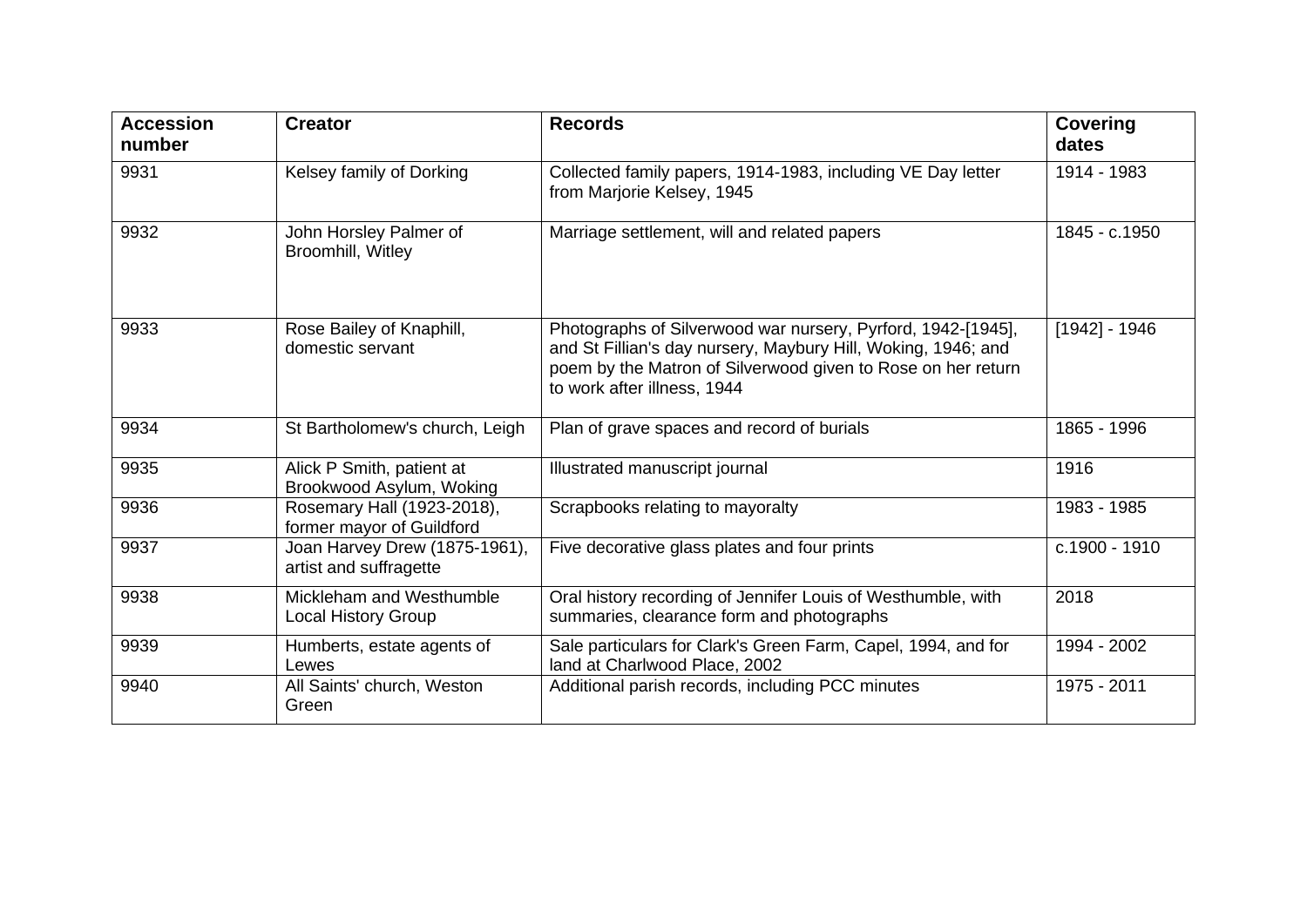| <b>Accession</b><br>number | <b>Creator</b>                                          | <b>Records</b>                                                                                                                                                                                                               | <b>Covering</b><br>dates |
|----------------------------|---------------------------------------------------------|------------------------------------------------------------------------------------------------------------------------------------------------------------------------------------------------------------------------------|--------------------------|
| 9931                       | Kelsey family of Dorking                                | Collected family papers, 1914-1983, including VE Day letter<br>from Marjorie Kelsey, 1945                                                                                                                                    | 1914 - 1983              |
| 9932                       | John Horsley Palmer of<br>Broomhill, Witley             | Marriage settlement, will and related papers                                                                                                                                                                                 | 1845 - c.1950            |
| 9933                       | Rose Bailey of Knaphill,<br>domestic servant            | Photographs of Silverwood war nursery, Pyrford, 1942-[1945],<br>and St Fillian's day nursery, Maybury Hill, Woking, 1946; and<br>poem by the Matron of Silverwood given to Rose on her return<br>to work after illness, 1944 | $[1942] - 1946$          |
| 9934                       | St Bartholomew's church, Leigh                          | Plan of grave spaces and record of burials                                                                                                                                                                                   | 1865 - 1996              |
| 9935                       | Alick P Smith, patient at<br>Brookwood Asylum, Woking   | Illustrated manuscript journal                                                                                                                                                                                               | 1916                     |
| 9936                       | Rosemary Hall (1923-2018),<br>former mayor of Guildford | Scrapbooks relating to mayoralty                                                                                                                                                                                             | 1983 - 1985              |
| 9937                       | Joan Harvey Drew (1875-1961),<br>artist and suffragette | Five decorative glass plates and four prints                                                                                                                                                                                 | c.1900 - 1910            |
| 9938                       | Mickleham and Westhumble<br><b>Local History Group</b>  | Oral history recording of Jennifer Louis of Westhumble, with<br>summaries, clearance form and photographs                                                                                                                    | 2018                     |
| 9939                       | Humberts, estate agents of<br>Lewes                     | Sale particulars for Clark's Green Farm, Capel, 1994, and for<br>land at Charlwood Place, 2002                                                                                                                               | 1994 - 2002              |
| 9940                       | All Saints' church, Weston<br>Green                     | Additional parish records, including PCC minutes                                                                                                                                                                             | 1975 - 2011              |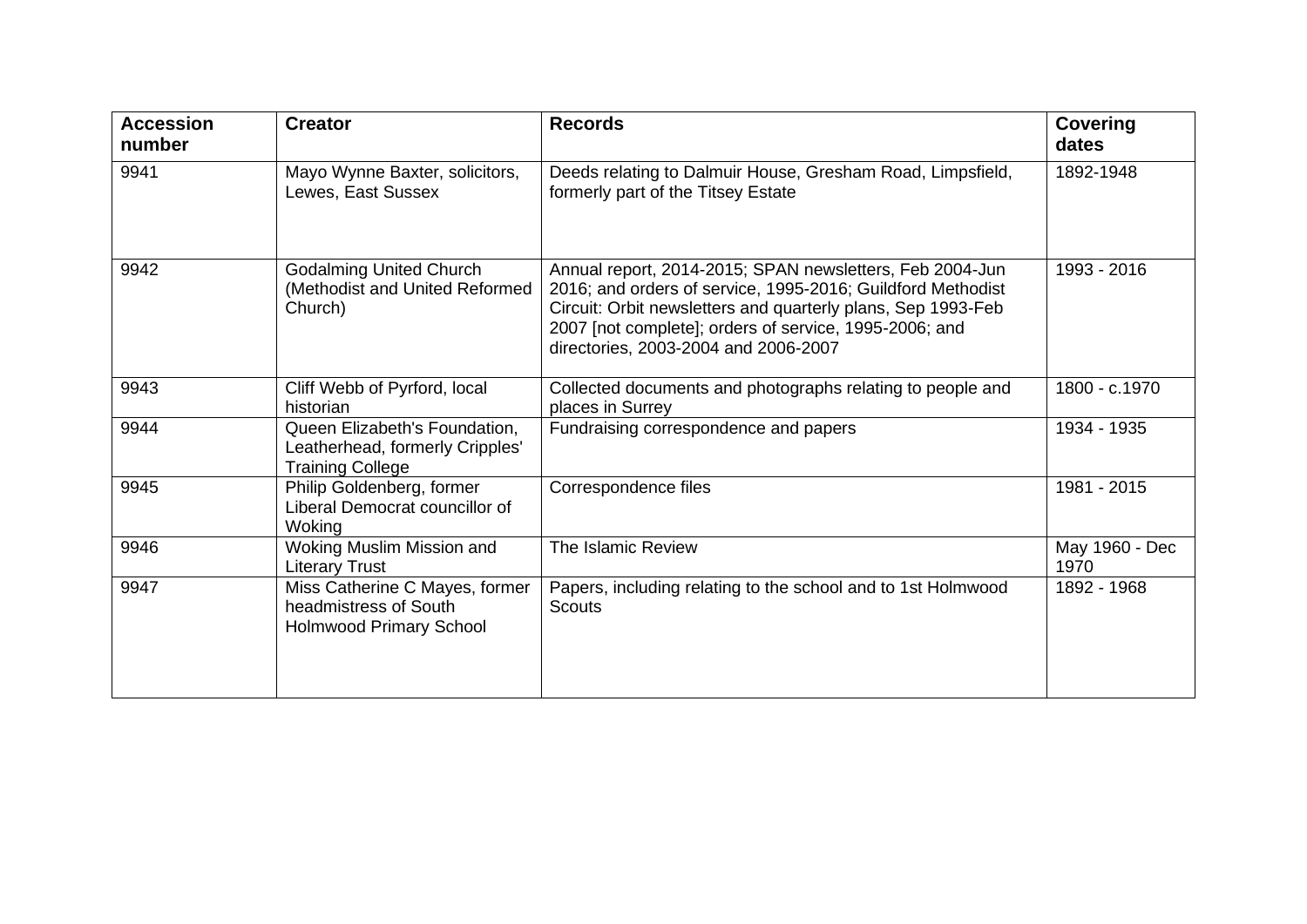| <b>Accession</b><br>number | <b>Creator</b>                                                                              | <b>Records</b>                                                                                                                                                                                                                                                                            | <b>Covering</b><br>dates |
|----------------------------|---------------------------------------------------------------------------------------------|-------------------------------------------------------------------------------------------------------------------------------------------------------------------------------------------------------------------------------------------------------------------------------------------|--------------------------|
| 9941                       | Mayo Wynne Baxter, solicitors,<br>Lewes, East Sussex                                        | Deeds relating to Dalmuir House, Gresham Road, Limpsfield,<br>formerly part of the Titsey Estate                                                                                                                                                                                          | 1892-1948                |
| 9942                       | <b>Godalming United Church</b><br>(Methodist and United Reformed<br>Church)                 | Annual report, 2014-2015; SPAN newsletters, Feb 2004-Jun<br>2016; and orders of service, 1995-2016; Guildford Methodist<br>Circuit: Orbit newsletters and quarterly plans, Sep 1993-Feb<br>2007 [not complete]; orders of service, 1995-2006; and<br>directories, 2003-2004 and 2006-2007 | 1993 - 2016              |
| 9943                       | Cliff Webb of Pyrford, local<br>historian                                                   | Collected documents and photographs relating to people and<br>places in Surrey                                                                                                                                                                                                            | 1800 - c.1970            |
| 9944                       | Queen Elizabeth's Foundation,<br>Leatherhead, formerly Cripples'<br><b>Training College</b> | Fundraising correspondence and papers                                                                                                                                                                                                                                                     | 1934 - 1935              |
| 9945                       | Philip Goldenberg, former<br>Liberal Democrat councillor of<br>Woking                       | Correspondence files                                                                                                                                                                                                                                                                      | 1981 - 2015              |
| 9946                       | Woking Muslim Mission and<br><b>Literary Trust</b>                                          | The Islamic Review                                                                                                                                                                                                                                                                        | May 1960 - Dec<br>1970   |
| 9947                       | Miss Catherine C Mayes, former<br>headmistress of South<br>Holmwood Primary School          | Papers, including relating to the school and to 1st Holmwood<br><b>Scouts</b>                                                                                                                                                                                                             | 1892 - 1968              |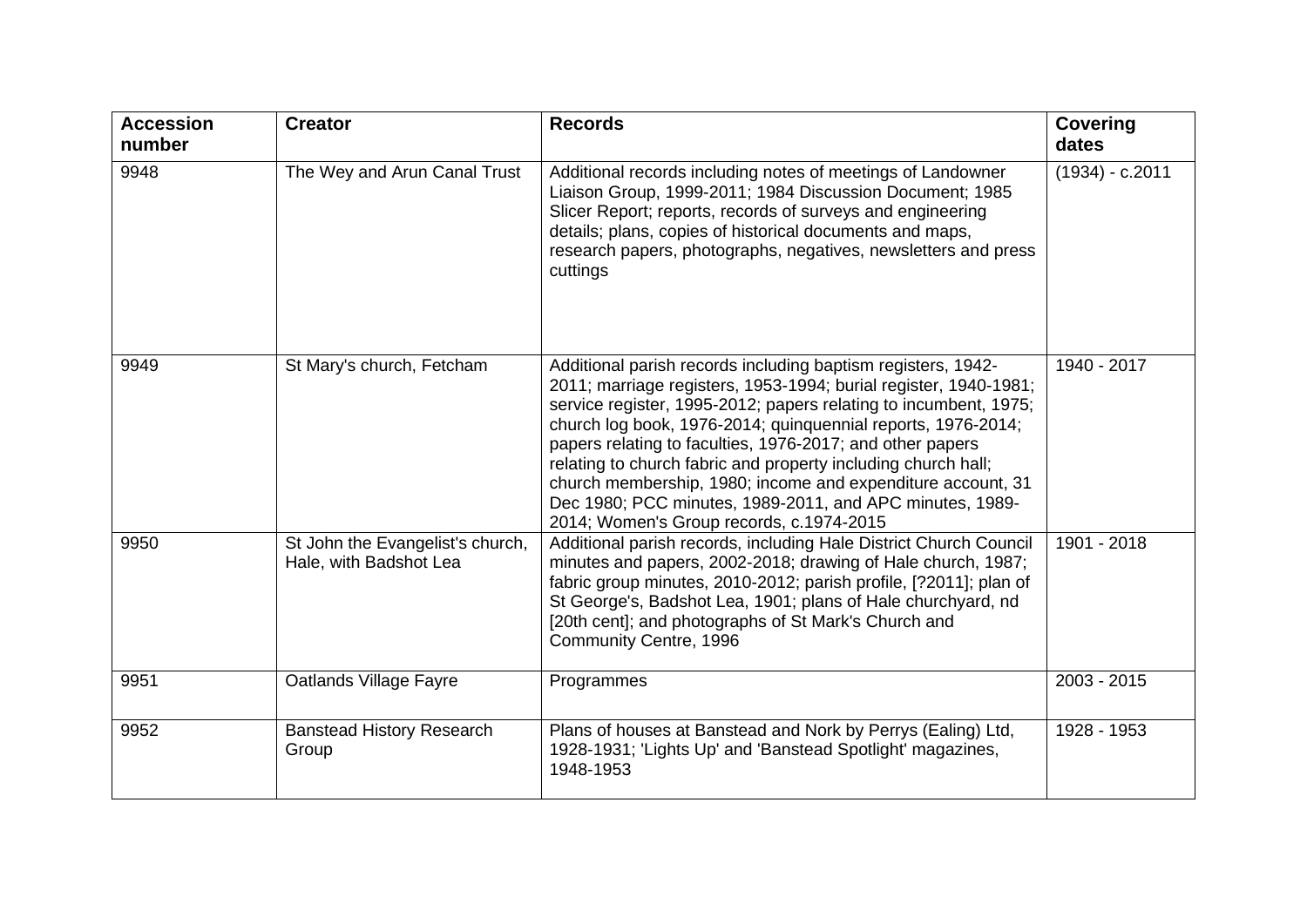| <b>Accession</b><br>number | <b>Creator</b>                                             | <b>Records</b>                                                                                                                                                                                                                                                                                                                                                                                                                                                                                                                                                            | <b>Covering</b><br>dates |
|----------------------------|------------------------------------------------------------|---------------------------------------------------------------------------------------------------------------------------------------------------------------------------------------------------------------------------------------------------------------------------------------------------------------------------------------------------------------------------------------------------------------------------------------------------------------------------------------------------------------------------------------------------------------------------|--------------------------|
| 9948                       | The Wey and Arun Canal Trust                               | Additional records including notes of meetings of Landowner<br>Liaison Group, 1999-2011; 1984 Discussion Document; 1985<br>Slicer Report; reports, records of surveys and engineering<br>details; plans, copies of historical documents and maps,<br>research papers, photographs, negatives, newsletters and press<br>cuttings                                                                                                                                                                                                                                           | $(1934) - c.2011$        |
| 9949                       | St Mary's church, Fetcham                                  | Additional parish records including baptism registers, 1942-<br>2011; marriage registers, 1953-1994; burial register, 1940-1981;<br>service register, 1995-2012; papers relating to incumbent, 1975;<br>church log book, 1976-2014; quinquennial reports, 1976-2014;<br>papers relating to faculties, 1976-2017; and other papers<br>relating to church fabric and property including church hall;<br>church membership, 1980; income and expenditure account, 31<br>Dec 1980; PCC minutes, 1989-2011, and APC minutes, 1989-<br>2014; Women's Group records, c.1974-2015 | 1940 - 2017              |
| 9950                       | St John the Evangelist's church,<br>Hale, with Badshot Lea | Additional parish records, including Hale District Church Council<br>minutes and papers, 2002-2018; drawing of Hale church, 1987;<br>fabric group minutes, 2010-2012; parish profile, [?2011]; plan of<br>St George's, Badshot Lea, 1901; plans of Hale churchyard, nd<br>[20th cent]; and photographs of St Mark's Church and<br>Community Centre, 1996                                                                                                                                                                                                                  | 1901 - 2018              |
| 9951                       | Oatlands Village Fayre                                     | Programmes                                                                                                                                                                                                                                                                                                                                                                                                                                                                                                                                                                | 2003 - 2015              |
| 9952                       | <b>Banstead History Research</b><br>Group                  | Plans of houses at Banstead and Nork by Perrys (Ealing) Ltd,<br>1928-1931; 'Lights Up' and 'Banstead Spotlight' magazines,<br>1948-1953                                                                                                                                                                                                                                                                                                                                                                                                                                   | 1928 - 1953              |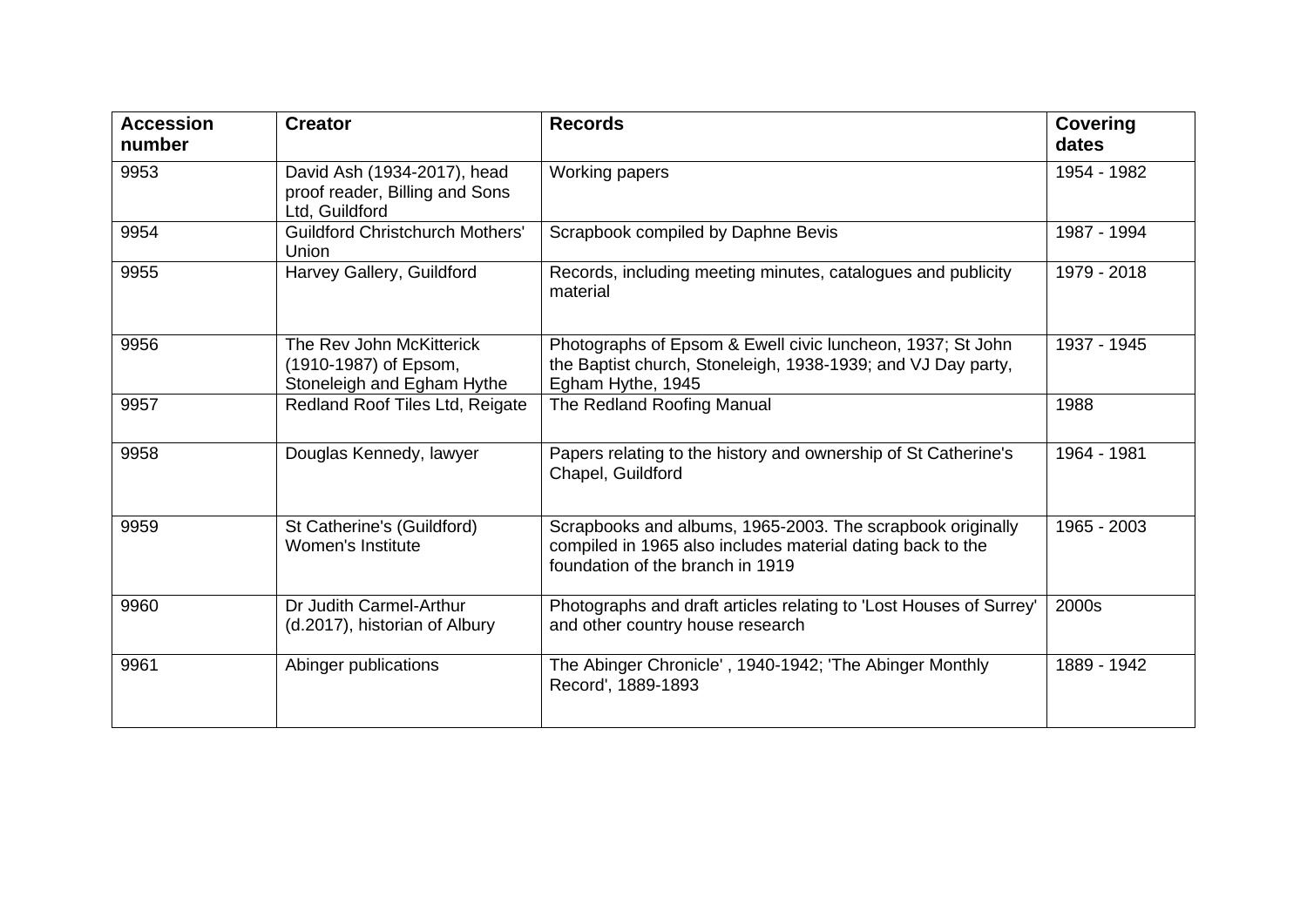| <b>Accession</b><br>number | <b>Creator</b>                                                                  | <b>Records</b>                                                                                                                                               | <b>Covering</b><br>dates |
|----------------------------|---------------------------------------------------------------------------------|--------------------------------------------------------------------------------------------------------------------------------------------------------------|--------------------------|
| 9953                       | David Ash (1934-2017), head<br>proof reader, Billing and Sons<br>Ltd, Guildford | Working papers                                                                                                                                               | 1954 - 1982              |
| 9954                       | <b>Guildford Christchurch Mothers'</b><br><b>Union</b>                          | Scrapbook compiled by Daphne Bevis                                                                                                                           | 1987 - 1994              |
| 9955                       | Harvey Gallery, Guildford                                                       | Records, including meeting minutes, catalogues and publicity<br>material                                                                                     | 1979 - 2018              |
| 9956                       | The Rev John McKitterick<br>(1910-1987) of Epsom,<br>Stoneleigh and Egham Hythe | Photographs of Epsom & Ewell civic luncheon, 1937; St John<br>the Baptist church, Stoneleigh, 1938-1939; and VJ Day party,<br>Egham Hythe, 1945              | 1937 - 1945              |
| 9957                       | Redland Roof Tiles Ltd, Reigate                                                 | The Redland Roofing Manual                                                                                                                                   | 1988                     |
| 9958                       | Douglas Kennedy, lawyer                                                         | Papers relating to the history and ownership of St Catherine's<br>Chapel, Guildford                                                                          | 1964 - 1981              |
| 9959                       | St Catherine's (Guildford)<br>Women's Institute                                 | Scrapbooks and albums, 1965-2003. The scrapbook originally<br>compiled in 1965 also includes material dating back to the<br>foundation of the branch in 1919 | 1965 - 2003              |
| 9960                       | Dr Judith Carmel-Arthur<br>(d.2017), historian of Albury                        | Photographs and draft articles relating to 'Lost Houses of Surrey'<br>and other country house research                                                       | 2000s                    |
| 9961                       | Abinger publications                                                            | The Abinger Chronicle', 1940-1942; 'The Abinger Monthly<br>Record', 1889-1893                                                                                | 1889 - 1942              |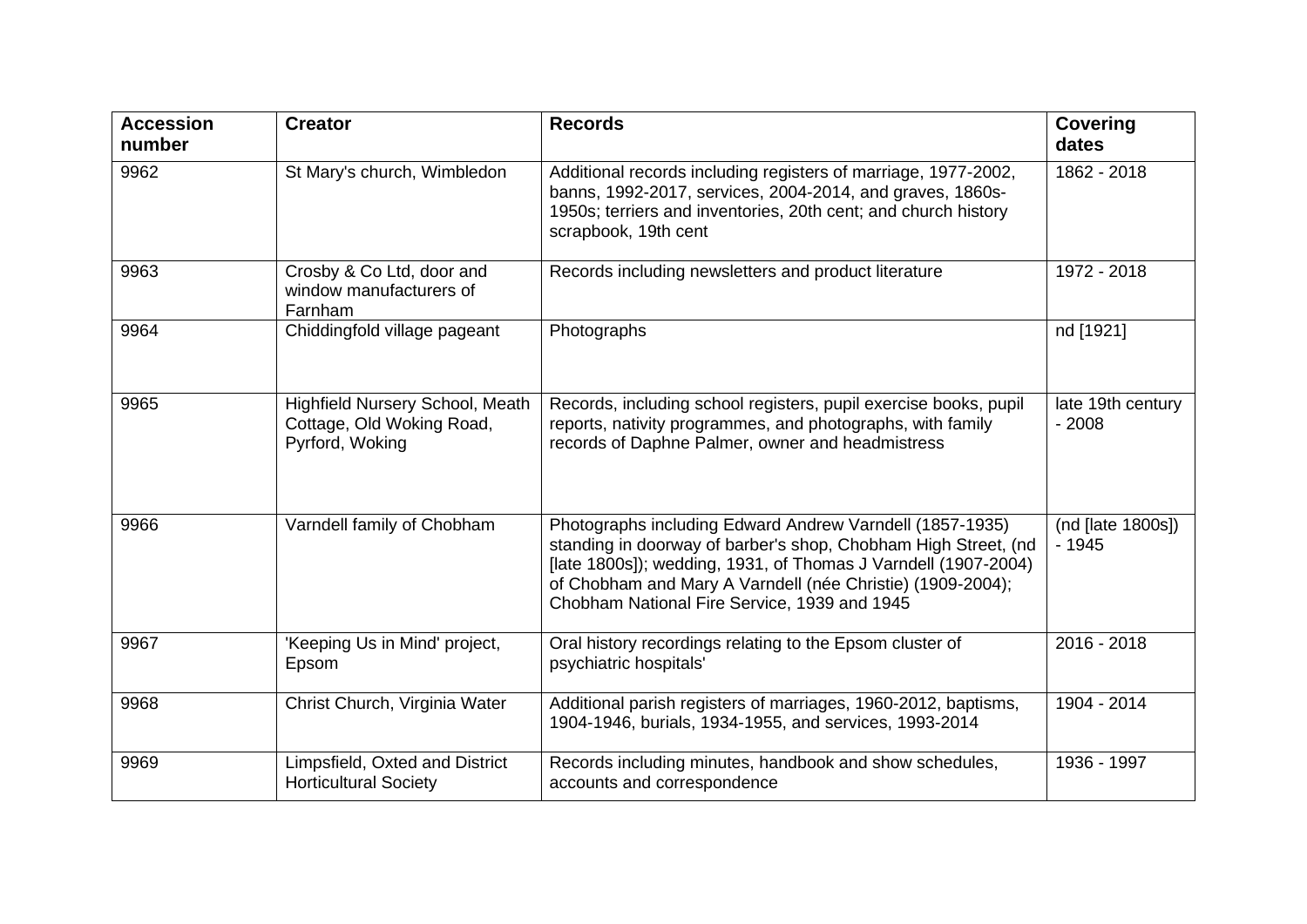| <b>Accession</b><br>number | <b>Creator</b>                                                                  | <b>Records</b>                                                                                                                                                                                                                                                                                             | <b>Covering</b><br>dates     |
|----------------------------|---------------------------------------------------------------------------------|------------------------------------------------------------------------------------------------------------------------------------------------------------------------------------------------------------------------------------------------------------------------------------------------------------|------------------------------|
| 9962                       | St Mary's church, Wimbledon                                                     | Additional records including registers of marriage, 1977-2002,<br>banns, 1992-2017, services, 2004-2014, and graves, 1860s-<br>1950s; terriers and inventories, 20th cent; and church history<br>scrapbook, 19th cent                                                                                      | 1862 - 2018                  |
| 9963                       | Crosby & Co Ltd, door and<br>window manufacturers of<br>Farnham                 | Records including newsletters and product literature                                                                                                                                                                                                                                                       | 1972 - 2018                  |
| 9964                       | Chiddingfold village pageant                                                    | Photographs                                                                                                                                                                                                                                                                                                | nd [1921]                    |
| 9965                       | Highfield Nursery School, Meath<br>Cottage, Old Woking Road,<br>Pyrford, Woking | Records, including school registers, pupil exercise books, pupil<br>reports, nativity programmes, and photographs, with family<br>records of Daphne Palmer, owner and headmistress                                                                                                                         | late 19th century<br>$-2008$ |
| 9966                       | Varndell family of Chobham                                                      | Photographs including Edward Andrew Varndell (1857-1935)<br>standing in doorway of barber's shop, Chobham High Street, (nd<br>[late 1800s]); wedding, 1931, of Thomas J Varndell (1907-2004)<br>of Chobham and Mary A Varndell (née Christie) (1909-2004);<br>Chobham National Fire Service, 1939 and 1945 | (nd [late 1800s])<br>$-1945$ |
| 9967                       | 'Keeping Us in Mind' project,<br>Epsom                                          | Oral history recordings relating to the Epsom cluster of<br>psychiatric hospitals'                                                                                                                                                                                                                         | 2016 - 2018                  |
| 9968                       | Christ Church, Virginia Water                                                   | Additional parish registers of marriages, 1960-2012, baptisms,<br>1904-1946, burials, 1934-1955, and services, 1993-2014                                                                                                                                                                                   | 1904 - 2014                  |
| 9969                       | Limpsfield, Oxted and District<br><b>Horticultural Society</b>                  | Records including minutes, handbook and show schedules,<br>accounts and correspondence                                                                                                                                                                                                                     | 1936 - 1997                  |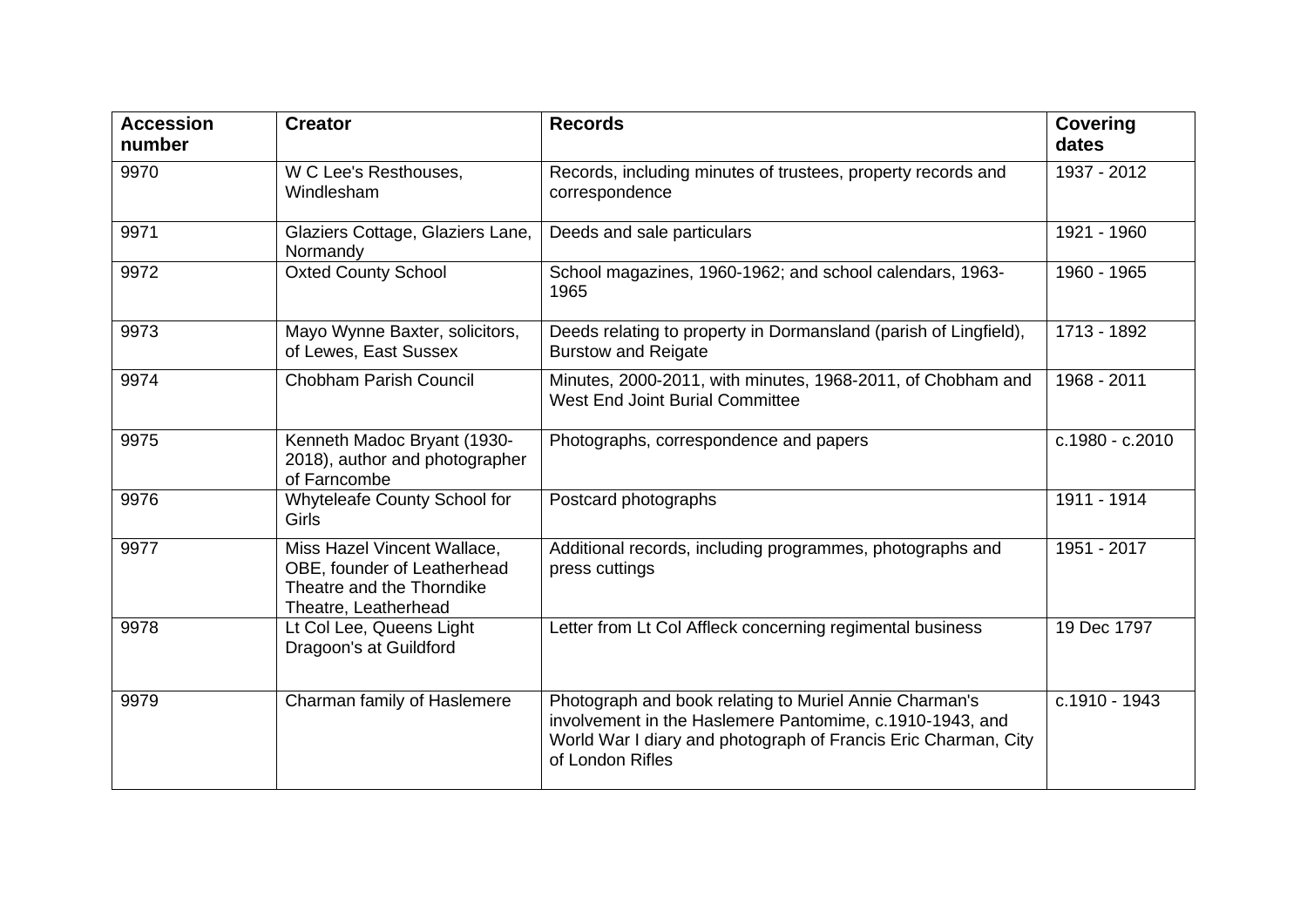| <b>Accession</b><br>number | <b>Creator</b>                                                                                                  | <b>Records</b>                                                                                                                                                                                           | <b>Covering</b><br>dates |
|----------------------------|-----------------------------------------------------------------------------------------------------------------|----------------------------------------------------------------------------------------------------------------------------------------------------------------------------------------------------------|--------------------------|
| 9970                       | W C Lee's Resthouses,<br>Windlesham                                                                             | Records, including minutes of trustees, property records and<br>correspondence                                                                                                                           | 1937 - 2012              |
| 9971                       | Glaziers Cottage, Glaziers Lane,<br>Normandy                                                                    | Deeds and sale particulars                                                                                                                                                                               | 1921 - 1960              |
| 9972                       | <b>Oxted County School</b>                                                                                      | School magazines, 1960-1962; and school calendars, 1963-<br>1965                                                                                                                                         | 1960 - 1965              |
| 9973                       | Mayo Wynne Baxter, solicitors,<br>of Lewes, East Sussex                                                         | Deeds relating to property in Dormansland (parish of Lingfield),<br><b>Burstow and Reigate</b>                                                                                                           | 1713 - 1892              |
| 9974                       | <b>Chobham Parish Council</b>                                                                                   | Minutes, 2000-2011, with minutes, 1968-2011, of Chobham and<br><b>West End Joint Burial Committee</b>                                                                                                    | 1968 - 2011              |
| 9975                       | Kenneth Madoc Bryant (1930-<br>2018), author and photographer<br>of Farncombe                                   | Photographs, correspondence and papers                                                                                                                                                                   | c.1980 - c.2010          |
| 9976                       | Whyteleafe County School for<br><b>Girls</b>                                                                    | Postcard photographs                                                                                                                                                                                     | 1911 - 1914              |
| 9977                       | Miss Hazel Vincent Wallace,<br>OBE, founder of Leatherhead<br>Theatre and the Thorndike<br>Theatre, Leatherhead | Additional records, including programmes, photographs and<br>press cuttings                                                                                                                              | 1951 - 2017              |
| 9978                       | Lt Col Lee, Queens Light<br>Dragoon's at Guildford                                                              | Letter from Lt Col Affleck concerning regimental business                                                                                                                                                | 19 Dec 1797              |
| 9979                       | Charman family of Haslemere                                                                                     | Photograph and book relating to Muriel Annie Charman's<br>involvement in the Haslemere Pantomime, c.1910-1943, and<br>World War I diary and photograph of Francis Eric Charman, City<br>of London Rifles | c.1910 - 1943            |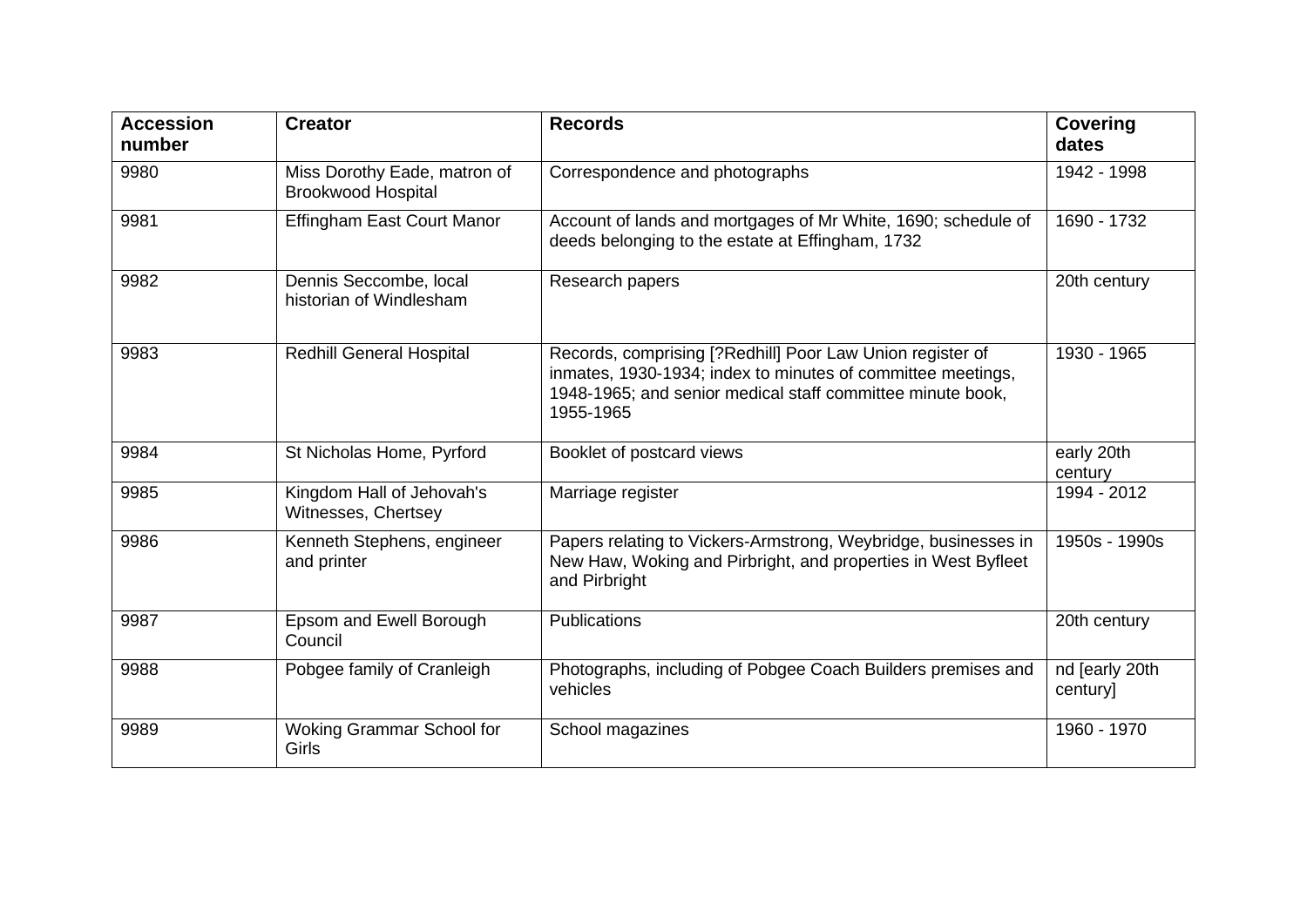| <b>Accession</b><br>number | <b>Creator</b>                                            | <b>Records</b>                                                                                                                                                                                      | <b>Covering</b><br>dates   |
|----------------------------|-----------------------------------------------------------|-----------------------------------------------------------------------------------------------------------------------------------------------------------------------------------------------------|----------------------------|
| 9980                       | Miss Dorothy Eade, matron of<br><b>Brookwood Hospital</b> | Correspondence and photographs                                                                                                                                                                      | 1942 - 1998                |
| 9981                       | <b>Effingham East Court Manor</b>                         | Account of lands and mortgages of Mr White, 1690; schedule of<br>deeds belonging to the estate at Effingham, 1732                                                                                   | 1690 - 1732                |
| 9982                       | Dennis Seccombe, local<br>historian of Windlesham         | Research papers                                                                                                                                                                                     | 20th century               |
| 9983                       | <b>Redhill General Hospital</b>                           | Records, comprising [?Redhill] Poor Law Union register of<br>inmates, 1930-1934; index to minutes of committee meetings,<br>1948-1965; and senior medical staff committee minute book,<br>1955-1965 | 1930 - 1965                |
| 9984                       | St Nicholas Home, Pyrford                                 | Booklet of postcard views                                                                                                                                                                           | early 20th<br>century      |
| 9985                       | Kingdom Hall of Jehovah's<br>Witnesses, Chertsey          | Marriage register                                                                                                                                                                                   | 1994 - 2012                |
| 9986                       | Kenneth Stephens, engineer<br>and printer                 | Papers relating to Vickers-Armstrong, Weybridge, businesses in<br>New Haw, Woking and Pirbright, and properties in West Byfleet<br>and Pirbright                                                    | 1950s - 1990s              |
| 9987                       | Epsom and Ewell Borough<br>Council                        | Publications                                                                                                                                                                                        | 20th century               |
| 9988                       | Pobgee family of Cranleigh                                | Photographs, including of Pobgee Coach Builders premises and<br>vehicles                                                                                                                            | nd [early 20th<br>century] |
| 9989                       | Woking Grammar School for<br><b>Girls</b>                 | School magazines                                                                                                                                                                                    | 1960 - 1970                |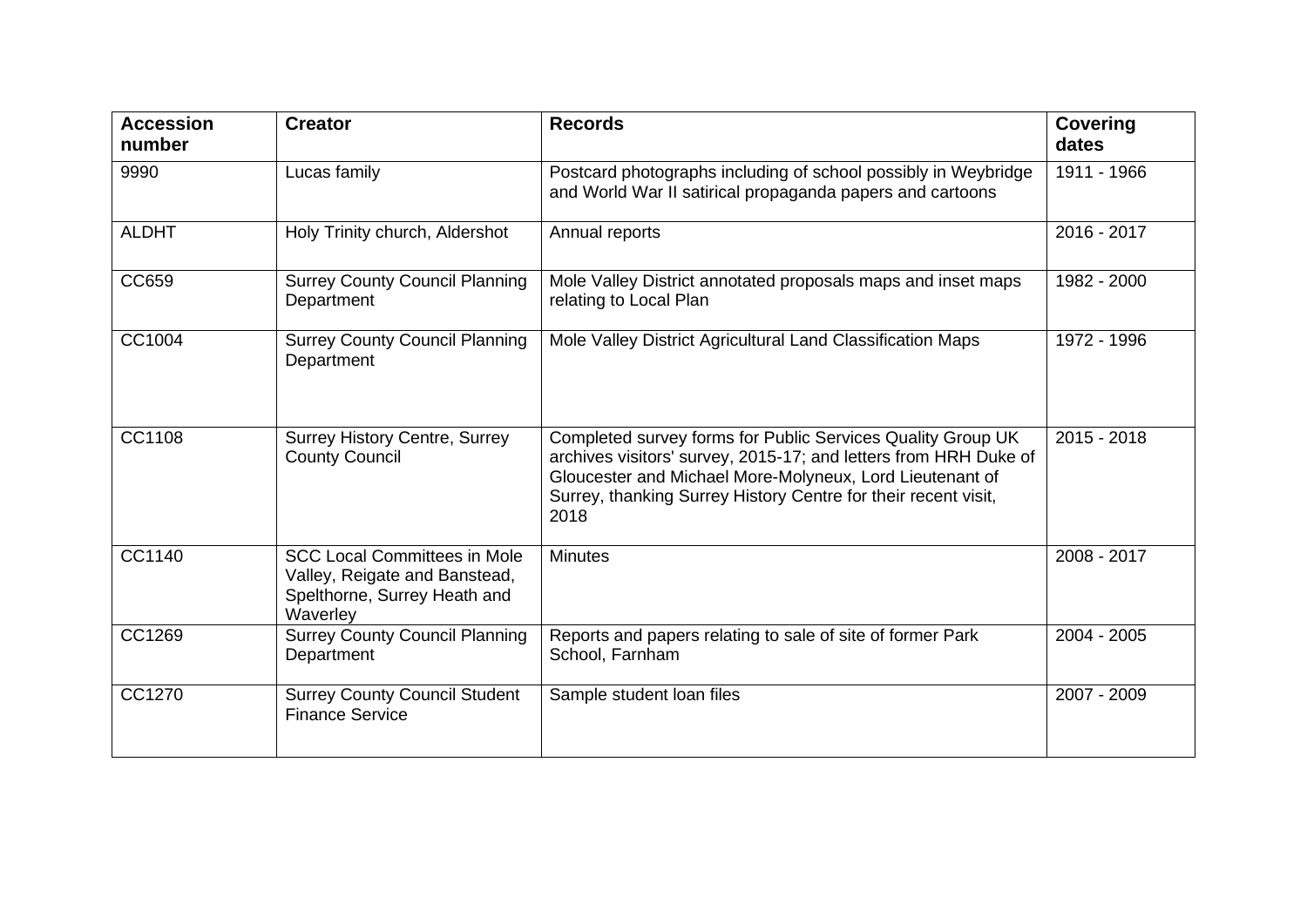| <b>Accession</b><br>number | <b>Creator</b>                                                                                                   | <b>Records</b>                                                                                                                                                                                                                                                        | <b>Covering</b><br>dates |
|----------------------------|------------------------------------------------------------------------------------------------------------------|-----------------------------------------------------------------------------------------------------------------------------------------------------------------------------------------------------------------------------------------------------------------------|--------------------------|
| 9990                       | Lucas family                                                                                                     | Postcard photographs including of school possibly in Weybridge<br>and World War II satirical propaganda papers and cartoons                                                                                                                                           | 1911 - 1966              |
| <b>ALDHT</b>               | Holy Trinity church, Aldershot                                                                                   | Annual reports                                                                                                                                                                                                                                                        | 2016 - 2017              |
| CC659                      | <b>Surrey County Council Planning</b><br>Department                                                              | Mole Valley District annotated proposals maps and inset maps<br>relating to Local Plan                                                                                                                                                                                | 1982 - 2000              |
| CC1004                     | <b>Surrey County Council Planning</b><br>Department                                                              | Mole Valley District Agricultural Land Classification Maps                                                                                                                                                                                                            | 1972 - 1996              |
| CC1108                     | <b>Surrey History Centre, Surrey</b><br><b>County Council</b>                                                    | Completed survey forms for Public Services Quality Group UK<br>archives visitors' survey, 2015-17; and letters from HRH Duke of<br>Gloucester and Michael More-Molyneux, Lord Lieutenant of<br>Surrey, thanking Surrey History Centre for their recent visit,<br>2018 | $2015 - 2018$            |
| CC1140                     | <b>SCC Local Committees in Mole</b><br>Valley, Reigate and Banstead,<br>Spelthorne, Surrey Heath and<br>Waverley | <b>Minutes</b>                                                                                                                                                                                                                                                        | 2008 - 2017              |
| CC1269                     | <b>Surrey County Council Planning</b><br>Department                                                              | Reports and papers relating to sale of site of former Park<br>School, Farnham                                                                                                                                                                                         | 2004 - 2005              |
| CC1270                     | <b>Surrey County Council Student</b><br><b>Finance Service</b>                                                   | Sample student loan files                                                                                                                                                                                                                                             | 2007 - 2009              |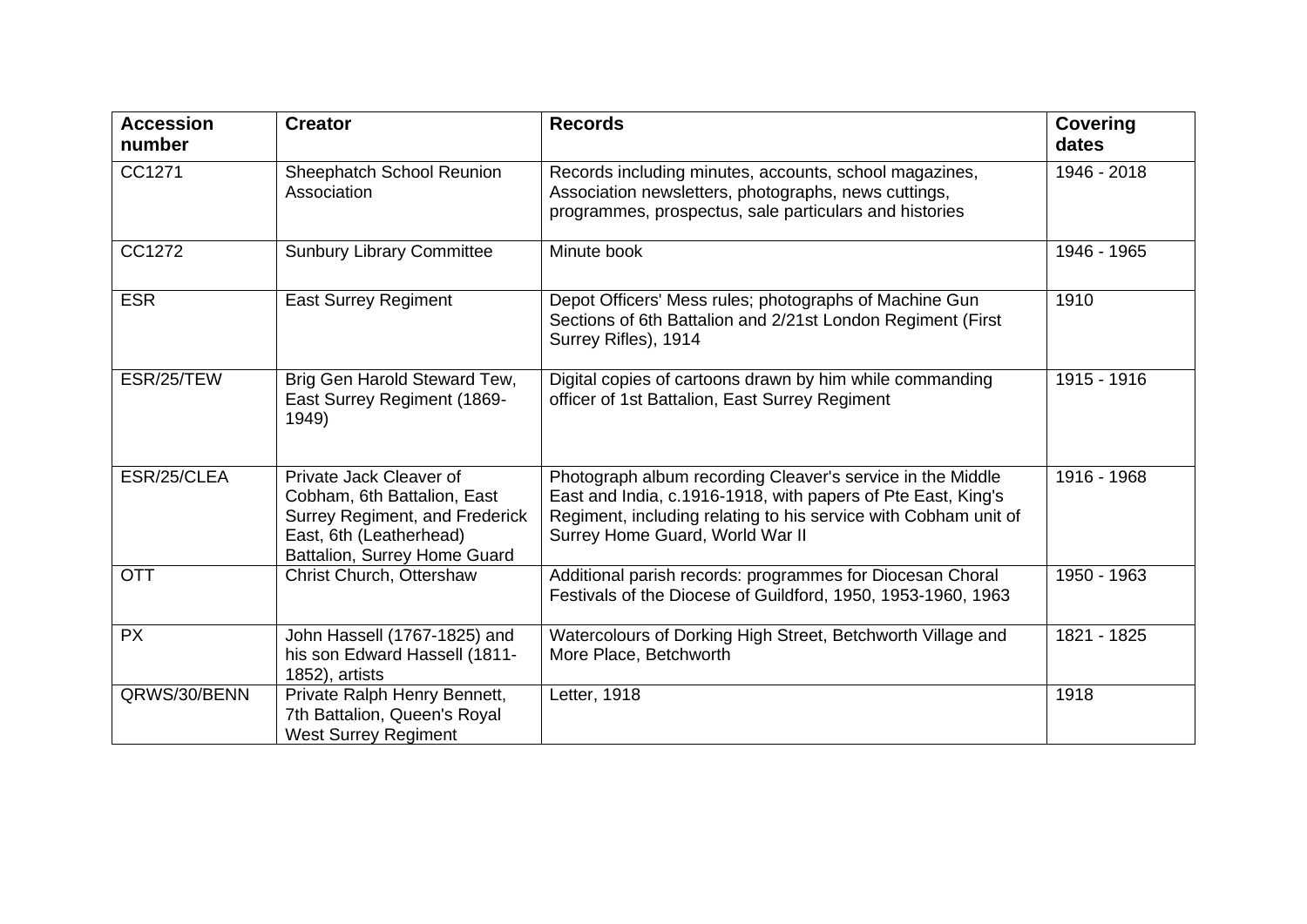| <b>Accession</b><br>number | <b>Creator</b>                                                                                                                                             | <b>Records</b>                                                                                                                                                                                                                   | <b>Covering</b><br>dates |
|----------------------------|------------------------------------------------------------------------------------------------------------------------------------------------------------|----------------------------------------------------------------------------------------------------------------------------------------------------------------------------------------------------------------------------------|--------------------------|
| CC1271                     | Sheephatch School Reunion<br>Association                                                                                                                   | Records including minutes, accounts, school magazines,<br>Association newsletters, photographs, news cuttings,<br>programmes, prospectus, sale particulars and histories                                                         | 1946 - 2018              |
| CC1272                     | <b>Sunbury Library Committee</b>                                                                                                                           | Minute book                                                                                                                                                                                                                      | 1946 - 1965              |
| <b>ESR</b>                 | <b>East Surrey Regiment</b>                                                                                                                                | Depot Officers' Mess rules; photographs of Machine Gun<br>Sections of 6th Battalion and 2/21st London Regiment (First<br>Surrey Rifles), 1914                                                                                    | 1910                     |
| ESR/25/TEW                 | Brig Gen Harold Steward Tew,<br>East Surrey Regiment (1869-<br>1949)                                                                                       | Digital copies of cartoons drawn by him while commanding<br>officer of 1st Battalion, East Surrey Regiment                                                                                                                       | 1915 - 1916              |
| ESR/25/CLEA                | Private Jack Cleaver of<br>Cobham, 6th Battalion, East<br><b>Surrey Regiment, and Frederick</b><br>East, 6th (Leatherhead)<br>Battalion, Surrey Home Guard | Photograph album recording Cleaver's service in the Middle<br>East and India, c.1916-1918, with papers of Pte East, King's<br>Regiment, including relating to his service with Cobham unit of<br>Surrey Home Guard, World War II | 1916 - 1968              |
| <b>OTT</b>                 | Christ Church, Ottershaw                                                                                                                                   | Additional parish records: programmes for Diocesan Choral<br>Festivals of the Diocese of Guildford, 1950, 1953-1960, 1963                                                                                                        | 1950 - 1963              |
| <b>PX</b>                  | John Hassell (1767-1825) and<br>his son Edward Hassell (1811-<br>1852), artists                                                                            | Watercolours of Dorking High Street, Betchworth Village and<br>More Place, Betchworth                                                                                                                                            | 1821 - 1825              |
| QRWS/30/BENN               | Private Ralph Henry Bennett,<br>7th Battalion, Queen's Royal<br><b>West Surrey Regiment</b>                                                                | Letter, 1918                                                                                                                                                                                                                     | 1918                     |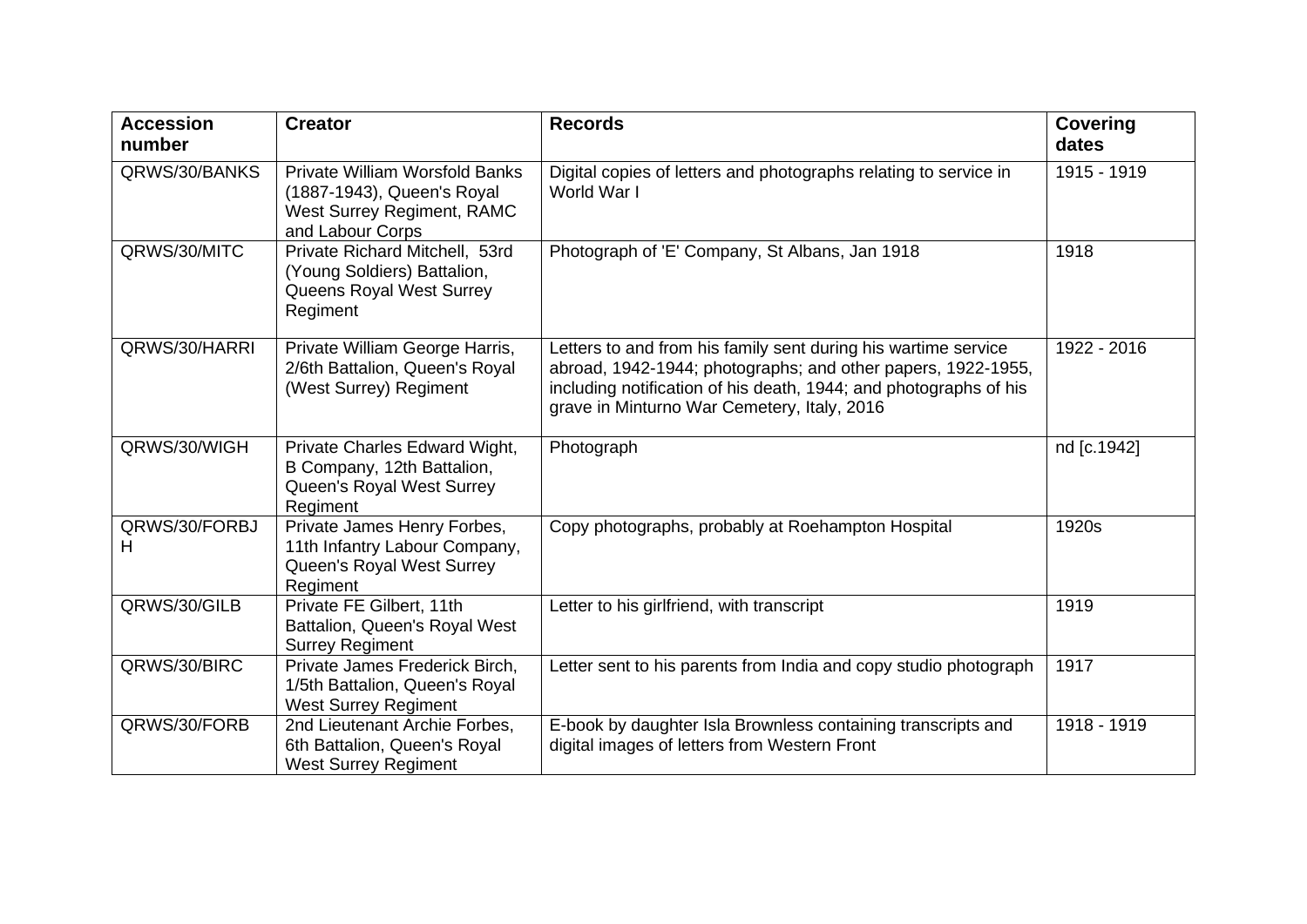| <b>Accession</b><br>number | <b>Creator</b>                                                                                                               | <b>Records</b>                                                                                                                                                                                                                                     | <b>Covering</b><br>dates |
|----------------------------|------------------------------------------------------------------------------------------------------------------------------|----------------------------------------------------------------------------------------------------------------------------------------------------------------------------------------------------------------------------------------------------|--------------------------|
| QRWS/30/BANKS              | <b>Private William Worsfold Banks</b><br>(1887-1943), Queen's Royal<br><b>West Surrey Regiment, RAMC</b><br>and Labour Corps | Digital copies of letters and photographs relating to service in<br>World War I                                                                                                                                                                    | 1915 - 1919              |
| QRWS/30/MITC               | Private Richard Mitchell, 53rd<br>(Young Soldiers) Battalion,<br>Queens Royal West Surrey<br>Regiment                        | Photograph of 'E' Company, St Albans, Jan 1918                                                                                                                                                                                                     | 1918                     |
| QRWS/30/HARRI              | Private William George Harris,<br>2/6th Battalion, Queen's Royal<br>(West Surrey) Regiment                                   | Letters to and from his family sent during his wartime service<br>abroad, 1942-1944; photographs; and other papers, 1922-1955,<br>including notification of his death, 1944; and photographs of his<br>grave in Minturno War Cemetery, Italy, 2016 | 1922 - 2016              |
| QRWS/30/WIGH               | Private Charles Edward Wight,<br>B Company, 12th Battalion,<br>Queen's Royal West Surrey<br>Regiment                         | Photograph                                                                                                                                                                                                                                         | nd [c.1942]              |
| QRWS/30/FORBJ<br>Н         | Private James Henry Forbes,<br>11th Infantry Labour Company,<br>Queen's Royal West Surrey<br>Regiment                        | Copy photographs, probably at Roehampton Hospital                                                                                                                                                                                                  | 1920s                    |
| QRWS/30/GILB               | Private FE Gilbert, 11th<br>Battalion, Queen's Royal West<br><b>Surrey Regiment</b>                                          | Letter to his girlfriend, with transcript                                                                                                                                                                                                          | 1919                     |
| QRWS/30/BIRC               | Private James Frederick Birch,<br>1/5th Battalion, Queen's Royal<br><b>West Surrey Regiment</b>                              | Letter sent to his parents from India and copy studio photograph                                                                                                                                                                                   | 1917                     |
| QRWS/30/FORB               | 2nd Lieutenant Archie Forbes,<br>6th Battalion, Queen's Royal<br><b>West Surrey Regiment</b>                                 | E-book by daughter Isla Brownless containing transcripts and<br>digital images of letters from Western Front                                                                                                                                       | 1918 - 1919              |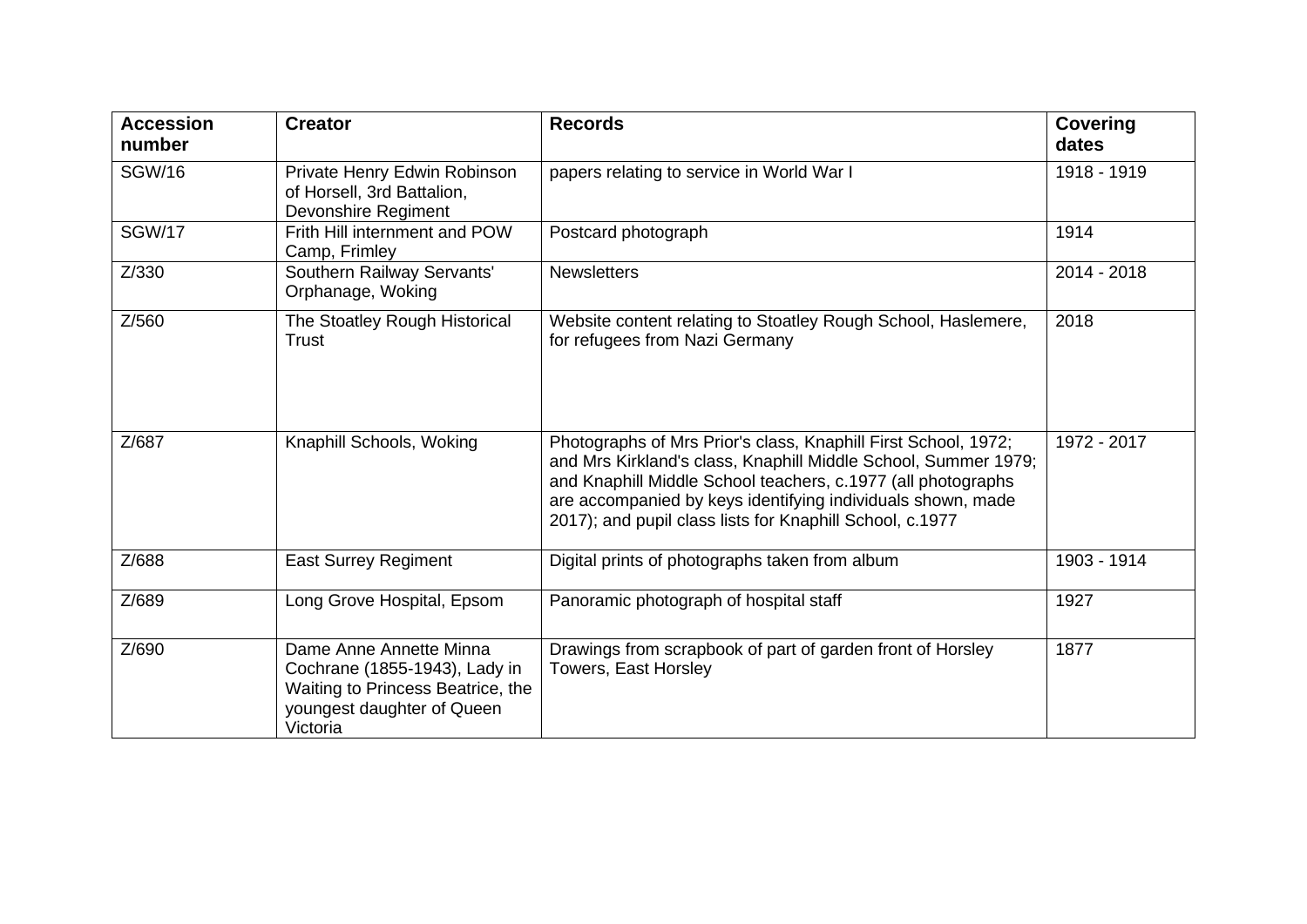| <b>Accession</b><br>number | <b>Creator</b>                                                                                                                          | <b>Records</b>                                                                                                                                                                                                                                                                                                              | <b>Covering</b><br>dates |
|----------------------------|-----------------------------------------------------------------------------------------------------------------------------------------|-----------------------------------------------------------------------------------------------------------------------------------------------------------------------------------------------------------------------------------------------------------------------------------------------------------------------------|--------------------------|
| <b>SGW/16</b>              | Private Henry Edwin Robinson<br>of Horsell, 3rd Battalion,<br>Devonshire Regiment                                                       | papers relating to service in World War I                                                                                                                                                                                                                                                                                   | 1918 - 1919              |
| <b>SGW/17</b>              | Frith Hill internment and POW<br>Camp, Frimley                                                                                          | Postcard photograph                                                                                                                                                                                                                                                                                                         | 1914                     |
| Z/330                      | Southern Railway Servants'<br>Orphanage, Woking                                                                                         | <b>Newsletters</b>                                                                                                                                                                                                                                                                                                          | 2014 - 2018              |
| Z/560                      | The Stoatley Rough Historical<br>Trust                                                                                                  | Website content relating to Stoatley Rough School, Haslemere,<br>for refugees from Nazi Germany                                                                                                                                                                                                                             | 2018                     |
| Z/687                      | Knaphill Schools, Woking                                                                                                                | Photographs of Mrs Prior's class, Knaphill First School, 1972;<br>and Mrs Kirkland's class, Knaphill Middle School, Summer 1979;<br>and Knaphill Middle School teachers, c.1977 (all photographs<br>are accompanied by keys identifying individuals shown, made<br>2017); and pupil class lists for Knaphill School, c.1977 | 1972 - 2017              |
| Z/688                      | <b>East Surrey Regiment</b>                                                                                                             | Digital prints of photographs taken from album                                                                                                                                                                                                                                                                              | 1903 - 1914              |
| Z/689                      | Long Grove Hospital, Epsom                                                                                                              | Panoramic photograph of hospital staff                                                                                                                                                                                                                                                                                      | 1927                     |
| Z/690                      | Dame Anne Annette Minna<br>Cochrane (1855-1943), Lady in<br>Waiting to Princess Beatrice, the<br>youngest daughter of Queen<br>Victoria | Drawings from scrapbook of part of garden front of Horsley<br>Towers, East Horsley                                                                                                                                                                                                                                          | 1877                     |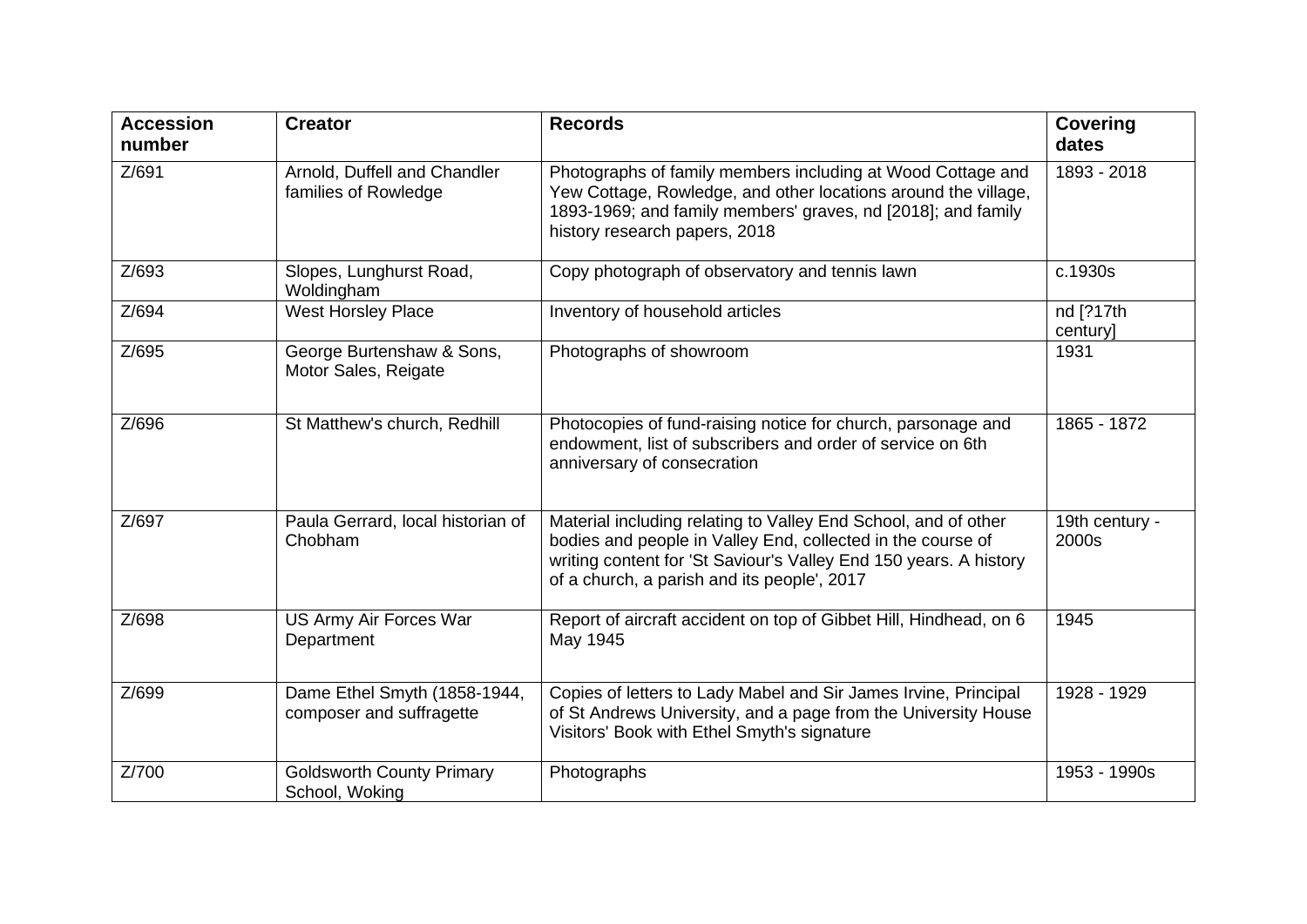| <b>Accession</b><br>number | <b>Creator</b>                                           | <b>Records</b>                                                                                                                                                                                                                                    | <b>Covering</b><br>dates |
|----------------------------|----------------------------------------------------------|---------------------------------------------------------------------------------------------------------------------------------------------------------------------------------------------------------------------------------------------------|--------------------------|
| Z/691                      | Arnold, Duffell and Chandler<br>families of Rowledge     | Photographs of family members including at Wood Cottage and<br>Yew Cottage, Rowledge, and other locations around the village,<br>1893-1969; and family members' graves, nd [2018]; and family<br>history research papers, 2018                    | 1893 - 2018              |
| Z/693                      | Slopes, Lunghurst Road,<br>Woldingham                    | Copy photograph of observatory and tennis lawn                                                                                                                                                                                                    | c.1930s                  |
| Z/694                      | <b>West Horsley Place</b>                                | Inventory of household articles                                                                                                                                                                                                                   | nd [?17th<br>century]    |
| Z/695                      | George Burtenshaw & Sons,<br>Motor Sales, Reigate        | Photographs of showroom                                                                                                                                                                                                                           | 1931                     |
| Z/696                      | St Matthew's church, Redhill                             | Photocopies of fund-raising notice for church, parsonage and<br>endowment, list of subscribers and order of service on 6th<br>anniversary of consecration                                                                                         | 1865 - 1872              |
| Z/697                      | Paula Gerrard, local historian of<br>Chobham             | Material including relating to Valley End School, and of other<br>bodies and people in Valley End, collected in the course of<br>writing content for 'St Saviour's Valley End 150 years. A history<br>of a church, a parish and its people', 2017 | 19th century -<br>2000s  |
| Z/698                      | US Army Air Forces War<br>Department                     | Report of aircraft accident on top of Gibbet Hill, Hindhead, on 6<br>May 1945                                                                                                                                                                     | 1945                     |
| Z/699                      | Dame Ethel Smyth (1858-1944,<br>composer and suffragette | Copies of letters to Lady Mabel and Sir James Irvine, Principal<br>of St Andrews University, and a page from the University House<br>Visitors' Book with Ethel Smyth's signature                                                                  | 1928 - 1929              |
| Z/700                      | <b>Goldsworth County Primary</b><br>School, Woking       | Photographs                                                                                                                                                                                                                                       | 1953 - 1990s             |